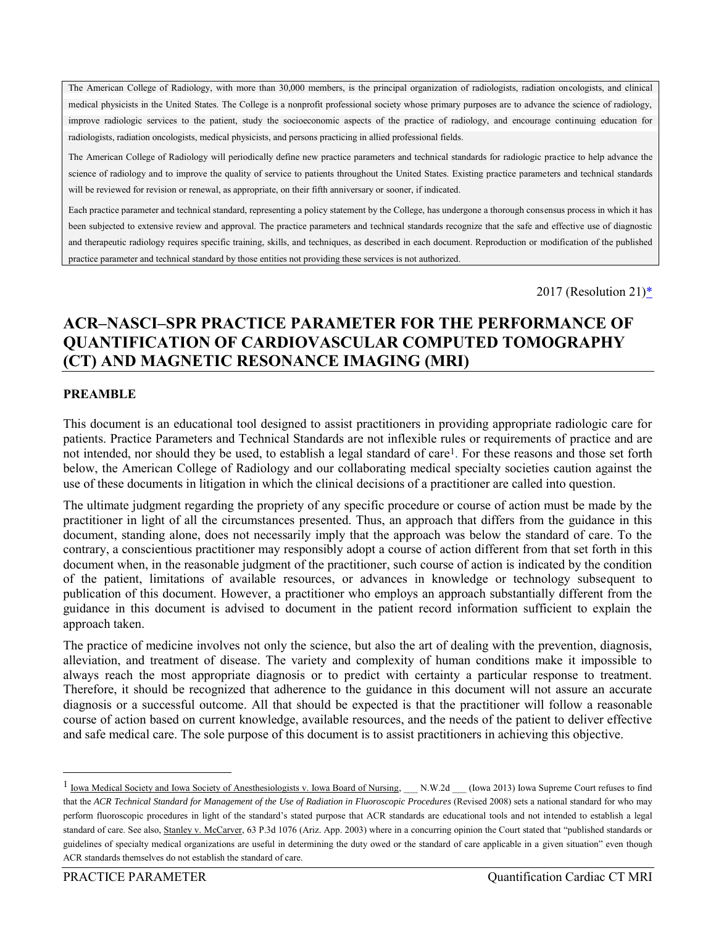The American College of Radiology, with more than 30,000 members, is the principal organization of radiologists, radiation oncologists, and clinical medical physicists in the United States. The College is a nonprofit professional society whose primary purposes are to advance the science of radiology, improve radiologic services to the patient, study the socioeconomic aspects of the practice of radiology, and encourage continuing education for radiologists, radiation oncologists, medical physicists, and persons practicing in allied professional fields.

The American College of Radiology will periodically define new practice parameters and technical standards for radiologic practice to help advance the science of radiology and to improve the quality of service to patients throughout the United States. Existing practice parameters and technical standards will be reviewed for revision or renewal, as appropriate, on their fifth anniversary or sooner, if indicated.

Each practice parameter and technical standard, representing a policy statement by the College, has undergone a thorough consensus process in which it has been subjected to extensive review and approval. The practice parameters and technical standards recognize that the safe and effective use of diagnostic and therapeutic radiology requires specific training, skills, and techniques, as described in each document. Reproduction or modification of the published practice parameter and technical standard by those entities not providing these services is not authorized.

2017 (Resolution 21[\)\\*](#page-34-0)

# **ACR–NASCI–SPR PRACTICE PARAMETER FOR THE PERFORMANCE OF QUANTIFICATION OF CARDIOVASCULAR COMPUTED TOMOGRAPHY (CT) AND MAGNETIC RESONANCE IMAGING (MRI)**

# **PREAMBLE**

This document is an educational tool designed to assist practitioners in providing appropriate radiologic care for patients. Practice Parameters and Technical Standards are not inflexible rules or requirements of practice and are not intended, nor should they be used, to establish a legal standard of care<sup>1</sup>. For these reasons and those set forth below, the American College of Radiology and our collaborating medical specialty societies caution against the use of these documents in litigation in which the clinical decisions of a practitioner are called into question.

The ultimate judgment regarding the propriety of any specific procedure or course of action must be made by the practitioner in light of all the circumstances presented. Thus, an approach that differs from the guidance in this document, standing alone, does not necessarily imply that the approach was below the standard of care. To the contrary, a conscientious practitioner may responsibly adopt a course of action different from that set forth in this document when, in the reasonable judgment of the practitioner, such course of action is indicated by the condition of the patient, limitations of available resources, or advances in knowledge or technology subsequent to publication of this document. However, a practitioner who employs an approach substantially different from the guidance in this document is advised to document in the patient record information sufficient to explain the approach taken.

The practice of medicine involves not only the science, but also the art of dealing with the prevention, diagnosis, alleviation, and treatment of disease. The variety and complexity of human conditions make it impossible to always reach the most appropriate diagnosis or to predict with certainty a particular response to treatment. Therefore, it should be recognized that adherence to the guidance in this document will not assure an accurate diagnosis or a successful outcome. All that should be expected is that the practitioner will follow a reasonable course of action based on current knowledge, available resources, and the needs of the patient to deliver effective and safe medical care. The sole purpose of this document is to assist practitioners in achieving this objective.

 $\ddot{\phantom{a}}$ 

<sup>&</sup>lt;sup>1</sup> Iowa Medical Society and Iowa Society of Anesthesiologists v. Iowa Board of Nursing, N.W.2d (Iowa 2013) Iowa Supreme Court refuses to find that the *ACR Technical Standard for Management of the Use of Radiation in Fluoroscopic Procedures* (Revised 2008) sets a national standard for who may perform fluoroscopic procedures in light of the standard's stated purpose that ACR standards are educational tools and not intended to establish a legal standard of care. See also, Stanley v. McCarver, 63 P.3d 1076 (Ariz. App. 2003) where in a concurring opinion the Court stated that "published standards or guidelines of specialty medical organizations are useful in determining the duty owed or the standard of care applicable in a given situation" even though ACR standards themselves do not establish the standard of care.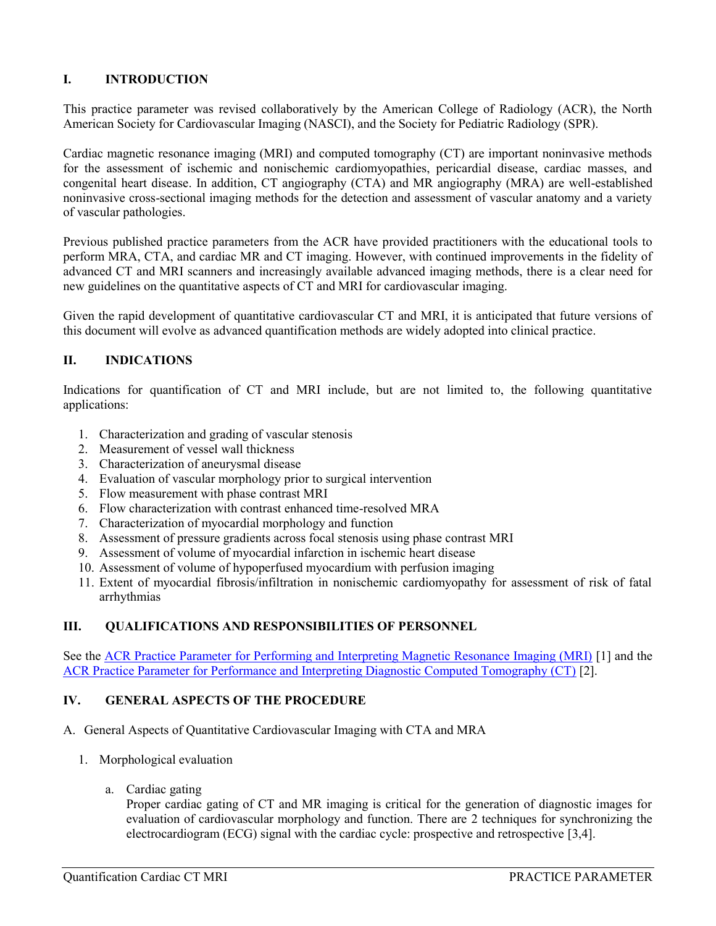# **I. INTRODUCTION**

This practice parameter was revised collaboratively by the American College of Radiology (ACR), the North American Society for Cardiovascular Imaging (NASCI), and the Society for Pediatric Radiology (SPR).

Cardiac magnetic resonance imaging (MRI) and computed tomography (CT) are important noninvasive methods for the assessment of ischemic and nonischemic cardiomyopathies, pericardial disease, cardiac masses, and congenital heart disease. In addition, CT angiography (CTA) and MR angiography (MRA) are well-established noninvasive cross-sectional imaging methods for the detection and assessment of vascular anatomy and a variety of vascular pathologies.

Previous published practice parameters from the ACR have provided practitioners with the educational tools to perform MRA, CTA, and cardiac MR and CT imaging. However, with continued improvements in the fidelity of advanced CT and MRI scanners and increasingly available advanced imaging methods, there is a clear need for new guidelines on the quantitative aspects of CT and MRI for cardiovascular imaging.

Given the rapid development of quantitative cardiovascular CT and MRI, it is anticipated that future versions of this document will evolve as advanced quantification methods are widely adopted into clinical practice.

# **II. INDICATIONS**

Indications for quantification of CT and MRI include, but are not limited to, the following quantitative applications:

- 1. Characterization and grading of vascular stenosis
- 2. Measurement of vessel wall thickness
- 3. Characterization of aneurysmal disease
- 4. Evaluation of vascular morphology prior to surgical intervention
- 5. Flow measurement with phase contrast MRI
- 6. Flow characterization with contrast enhanced time-resolved MRA
- 7. Characterization of myocardial morphology and function
- 8. Assessment of pressure gradients across focal stenosis using phase contrast MRI
- 9. Assessment of volume of myocardial infarction in ischemic heart disease
- 10. Assessment of volume of hypoperfused myocardium with perfusion imaging
- 11. Extent of myocardial fibrosis/infiltration in nonischemic cardiomyopathy for assessment of risk of fatal arrhythmias

# **III. QUALIFICATIONS AND RESPONSIBILITIES OF PERSONNEL**

See the ACR Practice Parameter [for Performing and Interpreting Magnetic Resonance Imaging \(MRI\)](https://www.acr.org/-/media/ACR/Files/Practice-Parameters/MR-Perf-Interpret.pdf) [\[1\]](#page-26-0) and the [ACR Practice Parameter for Performance and Interpreting Diagnostic Computed Tomography \(CT\)](https://www.acr.org/-/media/ACR/Files/Practice-Parameters/CT-Perf-Interpret.pdf) [\[2\]](#page-26-1).

# **IV. GENERAL ASPECTS OF THE PROCEDURE**

- A. General Aspects of Quantitative Cardiovascular Imaging with CTA and MRA
	- 1. Morphological evaluation
		- a. Cardiac gating

Proper cardiac gating of CT and MR imaging is critical for the generation of diagnostic images for evaluation of cardiovascular morphology and function. There are 2 techniques for synchronizing the electrocardiogram (ECG) signal with the cardiac cycle: prospective and retrospective [\[3](#page-26-2)[,4\]](#page-26-3).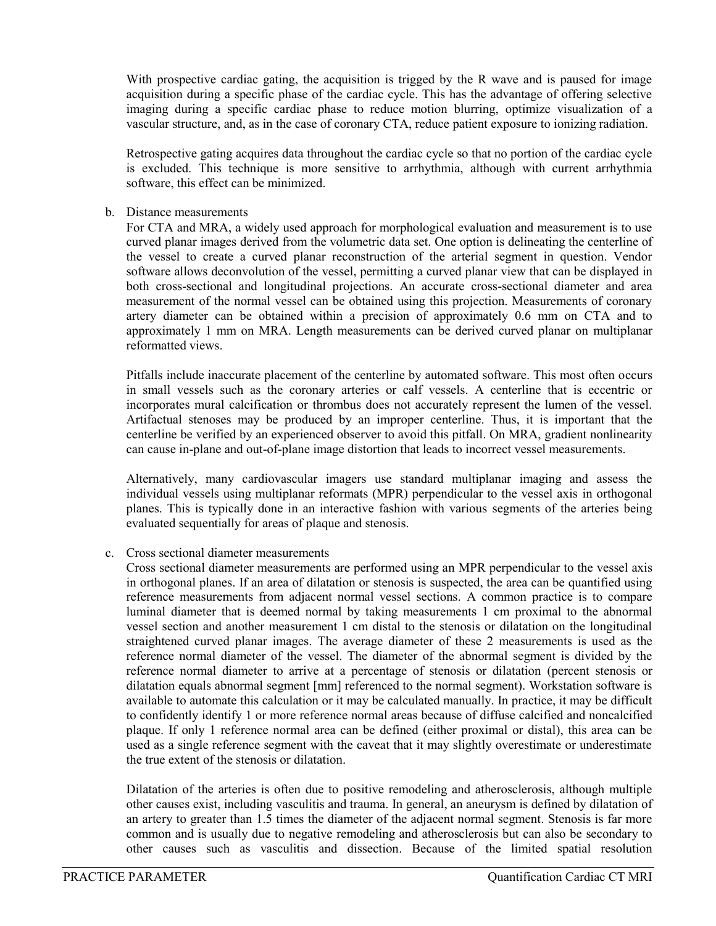With prospective cardiac gating, the acquisition is trigged by the R wave and is paused for image acquisition during a specific phase of the cardiac cycle. This has the advantage of offering selective imaging during a specific cardiac phase to reduce motion blurring, optimize visualization of a vascular structure, and, as in the case of coronary CTA, reduce patient exposure to ionizing radiation.

Retrospective gating acquires data throughout the cardiac cycle so that no portion of the cardiac cycle is excluded. This technique is more sensitive to arrhythmia, although with current arrhythmia software, this effect can be minimized.

b. Distance measurements

For CTA and MRA, a widely used approach for morphological evaluation and measurement is to use curved planar images derived from the volumetric data set. One option is delineating the centerline of the vessel to create a curved planar reconstruction of the arterial segment in question. Vendor software allows deconvolution of the vessel, permitting a curved planar view that can be displayed in both cross-sectional and longitudinal projections. An accurate cross-sectional diameter and area measurement of the normal vessel can be obtained using this projection. Measurements of coronary artery diameter can be obtained within a precision of approximately 0.6 mm on CTA and to approximately 1 mm on MRA. Length measurements can be derived curved planar on multiplanar reformatted views.

Pitfalls include inaccurate placement of the centerline by automated software. This most often occurs in small vessels such as the coronary arteries or calf vessels. A centerline that is eccentric or incorporates mural calcification or thrombus does not accurately represent the lumen of the vessel. Artifactual stenoses may be produced by an improper centerline. Thus, it is important that the centerline be verified by an experienced observer to avoid this pitfall. On MRA, gradient nonlinearity can cause in-plane and out-of-plane image distortion that leads to incorrect vessel measurements.

Alternatively, many cardiovascular imagers use standard multiplanar imaging and assess the individual vessels using multiplanar reformats (MPR) perpendicular to the vessel axis in orthogonal planes. This is typically done in an interactive fashion with various segments of the arteries being evaluated sequentially for areas of plaque and stenosis.

c. Cross sectional diameter measurements

Cross sectional diameter measurements are performed using an MPR perpendicular to the vessel axis in orthogonal planes. If an area of dilatation or stenosis is suspected, the area can be quantified using reference measurements from adjacent normal vessel sections. A common practice is to compare luminal diameter that is deemed normal by taking measurements 1 cm proximal to the abnormal vessel section and another measurement 1 cm distal to the stenosis or dilatation on the longitudinal straightened curved planar images. The average diameter of these 2 measurements is used as the reference normal diameter of the vessel. The diameter of the abnormal segment is divided by the reference normal diameter to arrive at a percentage of stenosis or dilatation (percent stenosis or dilatation equals abnormal segment [mm] referenced to the normal segment). Workstation software is available to automate this calculation or it may be calculated manually. In practice, it may be difficult to confidently identify 1 or more reference normal areas because of diffuse calcified and noncalcified plaque. If only 1 reference normal area can be defined (either proximal or distal), this area can be used as a single reference segment with the caveat that it may slightly overestimate or underestimate the true extent of the stenosis or dilatation.

Dilatation of the arteries is often due to positive remodeling and atherosclerosis, although multiple other causes exist, including vasculitis and trauma. In general, an aneurysm is defined by dilatation of an artery to greater than 1.5 times the diameter of the adjacent normal segment. Stenosis is far more common and is usually due to negative remodeling and atherosclerosis but can also be secondary to other causes such as vasculitis and dissection. Because of the limited spatial resolution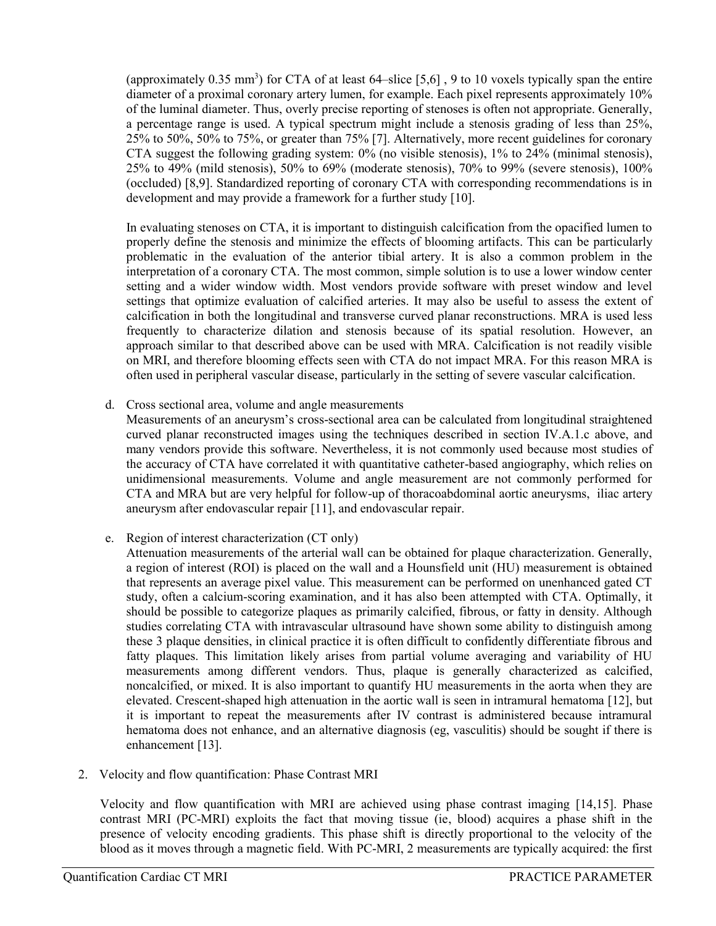(approximately  $0.35$  mm<sup>3</sup>) for CTA of at least  $64$ -slice  $[5,6]$  $[5,6]$ , 9 to 10 voxels typically span the entire diameter of a proximal coronary artery lumen, for example. Each pixel represents approximately 10% of the luminal diameter. Thus, overly precise reporting of stenoses is often not appropriate. Generally, a percentage range is used. A typical spectrum might include a stenosis grading of less than 25%, 25% to 50%, 50% to 75%, or greater than 75% [\[7\]](#page-26-6). Alternatively, more recent guidelines for coronary CTA suggest the following grading system: 0% (no visible stenosis), 1% to 24% (minimal stenosis), 25% to 49% (mild stenosis), 50% to 69% (moderate stenosis), 70% to 99% (severe stenosis), 100% (occluded) [\[8,](#page-26-7)[9\]](#page-26-8). Standardized reporting of coronary CTA with corresponding recommendations is in development and may provide a framework for a further study [\[10\]](#page-26-9).

In evaluating stenoses on CTA, it is important to distinguish calcification from the opacified lumen to properly define the stenosis and minimize the effects of blooming artifacts. This can be particularly problematic in the evaluation of the anterior tibial artery. It is also a common problem in the interpretation of a coronary CTA. The most common, simple solution is to use a lower window center setting and a wider window width. Most vendors provide software with preset window and level settings that optimize evaluation of calcified arteries. It may also be useful to assess the extent of calcification in both the longitudinal and transverse curved planar reconstructions. MRA is used less frequently to characterize dilation and stenosis because of its spatial resolution. However, an approach similar to that described above can be used with MRA. Calcification is not readily visible on MRI, and therefore blooming effects seen with CTA do not impact MRA. For this reason MRA is often used in peripheral vascular disease, particularly in the setting of severe vascular calcification.

d. Cross sectional area, volume and angle measurements

Measurements of an aneurysm's cross-sectional area can be calculated from longitudinal straightened curved planar reconstructed images using the techniques described in section IV.A.1.c above, and many vendors provide this software. Nevertheless, it is not commonly used because most studies of the accuracy of CTA have correlated it with quantitative catheter-based angiography, which relies on unidimensional measurements. Volume and angle measurement are not commonly performed for CTA and MRA but are very helpful for follow-up of thoracoabdominal aortic aneurysms, iliac artery aneurysm after endovascular repair [\[11\]](#page-26-10), and endovascular repair.

e. Region of interest characterization (CT only)

Attenuation measurements of the arterial wall can be obtained for plaque characterization. Generally, a region of interest (ROI) is placed on the wall and a Hounsfield unit (HU) measurement is obtained that represents an average pixel value. This measurement can be performed on unenhanced gated CT study, often a calcium-scoring examination, and it has also been attempted with CTA. Optimally, it should be possible to categorize plaques as primarily calcified, fibrous, or fatty in density. Although studies correlating CTA with intravascular ultrasound have shown some ability to distinguish among these 3 plaque densities, in clinical practice it is often difficult to confidently differentiate fibrous and fatty plaques. This limitation likely arises from partial volume averaging and variability of HU measurements among different vendors. Thus, plaque is generally characterized as calcified, noncalcified, or mixed. It is also important to quantify HU measurements in the aorta when they are elevated. Crescent-shaped high attenuation in the aortic wall is seen in intramural hematoma [\[12\]](#page-26-11), but it is important to repeat the measurements after IV contrast is administered because intramural hematoma does not enhance, and an alternative diagnosis (eg, vasculitis) should be sought if there is enhancement [\[13\]](#page-26-12).

2. Velocity and flow quantification: Phase Contrast MRI

Velocity and flow quantification with MRI are achieved using phase contrast imaging [\[14](#page-26-13)[,15\]](#page-26-14). Phase contrast MRI (PC-MRI) exploits the fact that moving tissue (ie, blood) acquires a phase shift in the presence of velocity encoding gradients. This phase shift is directly proportional to the velocity of the blood as it moves through a magnetic field. With PC-MRI, 2 measurements are typically acquired: the first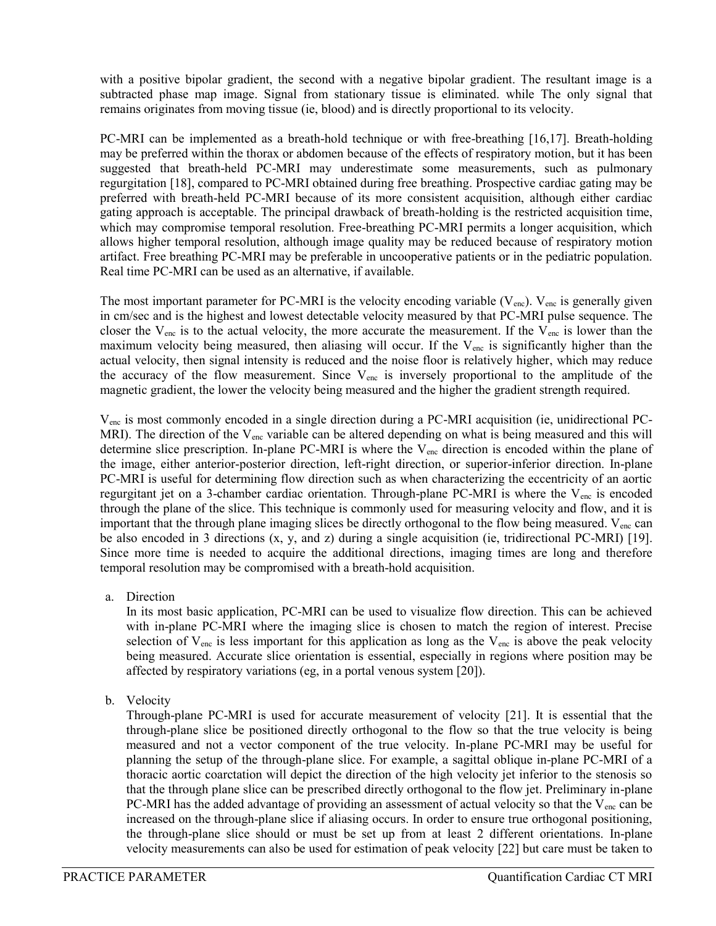with a positive bipolar gradient, the second with a negative bipolar gradient. The resultant image is a subtracted phase map image. Signal from stationary tissue is eliminated. while The only signal that remains originates from moving tissue (ie, blood) and is directly proportional to its velocity.

PC-MRI can be implemented as a breath-hold technique or with free-breathing [\[16](#page-26-15)[,17\]](#page-26-16). Breath-holding may be preferred within the thorax or abdomen because of the effects of respiratory motion, but it has been suggested that breath-held PC-MRI may underestimate some measurements, such as pulmonary regurgitation [\[18\]](#page-26-17), compared to PC-MRI obtained during free breathing. Prospective cardiac gating may be preferred with breath-held PC-MRI because of its more consistent acquisition, although either cardiac gating approach is acceptable. The principal drawback of breath-holding is the restricted acquisition time, which may compromise temporal resolution. Free-breathing PC-MRI permits a longer acquisition, which allows higher temporal resolution, although image quality may be reduced because of respiratory motion artifact. Free breathing PC-MRI may be preferable in uncooperative patients or in the pediatric population. Real time PC-MRI can be used as an alternative, if available.

The most important parameter for PC-MRI is the velocity encoding variable ( $V_{\text{enc}}$ ).  $V_{\text{enc}}$  is generally given in cm/sec and is the highest and lowest detectable velocity measured by that PC-MRI pulse sequence. The closer the  $V_{enc}$  is to the actual velocity, the more accurate the measurement. If the  $V_{enc}$  is lower than the maximum velocity being measured, then aliasing will occur. If the  $V_{enc}$  is significantly higher than the actual velocity, then signal intensity is reduced and the noise floor is relatively higher, which may reduce the accuracy of the flow measurement. Since  $V_{enc}$  is inversely proportional to the amplitude of the magnetic gradient, the lower the velocity being measured and the higher the gradient strength required.

Venc is most commonly encoded in a single direction during a PC-MRI acquisition (ie, unidirectional PC-MRI). The direction of the V<sub>enc</sub> variable can be altered depending on what is being measured and this will determine slice prescription. In-plane PC-MRI is where the Venc direction is encoded within the plane of the image, either anterior-posterior direction, left-right direction, or superior-inferior direction. In-plane PC-MRI is useful for determining flow direction such as when characterizing the eccentricity of an aortic regurgitant jet on a 3-chamber cardiac orientation. Through-plane PC-MRI is where the  $V_{enc}$  is encoded through the plane of the slice. This technique is commonly used for measuring velocity and flow, and it is important that the through plane imaging slices be directly orthogonal to the flow being measured. V<sub>enc</sub> can be also encoded in 3 directions (x, y, and z) during a single acquisition (ie, tridirectional PC-MRI) [\[19\]](#page-26-18). Since more time is needed to acquire the additional directions, imaging times are long and therefore temporal resolution may be compromised with a breath-hold acquisition.

a. Direction

In its most basic application, PC-MRI can be used to visualize flow direction. This can be achieved with in-plane PC-MRI where the imaging slice is chosen to match the region of interest. Precise selection of V<sub>enc</sub> is less important for this application as long as the V<sub>enc</sub> is above the peak velocity being measured. Accurate slice orientation is essential, especially in regions where position may be affected by respiratory variations (eg, in a portal venous system [\[20\]](#page-26-19)).

b. Velocity

Through-plane PC-MRI is used for accurate measurement of velocity [\[21\]](#page-27-0). It is essential that the through-plane slice be positioned directly orthogonal to the flow so that the true velocity is being measured and not a vector component of the true velocity. In-plane PC-MRI may be useful for planning the setup of the through-plane slice. For example, a sagittal oblique in-plane PC-MRI of a thoracic aortic coarctation will depict the direction of the high velocity jet inferior to the stenosis so that the through plane slice can be prescribed directly orthogonal to the flow jet. Preliminary in-plane PC-MRI has the added advantage of providing an assessment of actual velocity so that the  $V_{\text{enc}}$  can be increased on the through-plane slice if aliasing occurs. In order to ensure true orthogonal positioning, the through-plane slice should or must be set up from at least 2 different orientations. In-plane velocity measurements can also be used for estimation of peak velocity [\[22\]](#page-27-1) but care must be taken to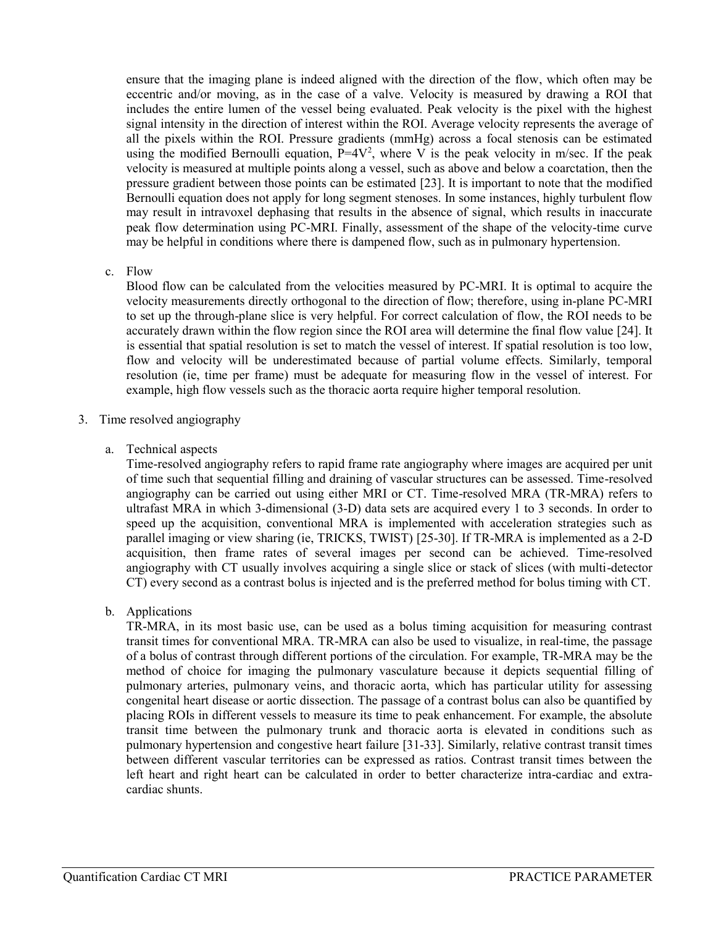ensure that the imaging plane is indeed aligned with the direction of the flow, which often may be eccentric and/or moving, as in the case of a valve. Velocity is measured by drawing a ROI that includes the entire lumen of the vessel being evaluated. Peak velocity is the pixel with the highest signal intensity in the direction of interest within the ROI. Average velocity represents the average of all the pixels within the ROI. Pressure gradients (mmHg) across a focal stenosis can be estimated using the modified Bernoulli equation,  $P=4V^2$ , where V is the peak velocity in m/sec. If the peak velocity is measured at multiple points along a vessel, such as above and below a coarctation, then the pressure gradient between those points can be estimated [\[23\]](#page-27-2). It is important to note that the modified Bernoulli equation does not apply for long segment stenoses. In some instances, highly turbulent flow may result in intravoxel dephasing that results in the absence of signal, which results in inaccurate peak flow determination using PC-MRI. Finally, assessment of the shape of the velocity-time curve may be helpful in conditions where there is dampened flow, such as in pulmonary hypertension.

## c. Flow

Blood flow can be calculated from the velocities measured by PC-MRI. It is optimal to acquire the velocity measurements directly orthogonal to the direction of flow; therefore, using in-plane PC-MRI to set up the through-plane slice is very helpful. For correct calculation of flow, the ROI needs to be accurately drawn within the flow region since the ROI area will determine the final flow value [\[24\]](#page-27-3). It is essential that spatial resolution is set to match the vessel of interest. If spatial resolution is too low, flow and velocity will be underestimated because of partial volume effects. Similarly, temporal resolution (ie, time per frame) must be adequate for measuring flow in the vessel of interest. For example, high flow vessels such as the thoracic aorta require higher temporal resolution.

- 3. Time resolved angiography
	- a. Technical aspects

Time-resolved angiography refers to rapid frame rate angiography where images are acquired per unit of time such that sequential filling and draining of vascular structures can be assessed. Time-resolved angiography can be carried out using either MRI or CT. Time-resolved MRA (TR-MRA) refers to ultrafast MRA in which 3-dimensional (3-D) data sets are acquired every 1 to 3 seconds. In order to speed up the acquisition, conventional MRA is implemented with acceleration strategies such as parallel imaging or view sharing (ie, TRICKS, TWIST) [\[25-30\]](#page-27-4). If TR-MRA is implemented as a 2-D acquisition, then frame rates of several images per second can be achieved. Time-resolved angiography with CT usually involves acquiring a single slice or stack of slices (with multi-detector CT) every second as a contrast bolus is injected and is the preferred method for bolus timing with CT.

b. Applications

TR-MRA, in its most basic use, can be used as a bolus timing acquisition for measuring contrast transit times for conventional MRA. TR-MRA can also be used to visualize, in real-time, the passage of a bolus of contrast through different portions of the circulation. For example, TR-MRA may be the method of choice for imaging the pulmonary vasculature because it depicts sequential filling of pulmonary arteries, pulmonary veins, and thoracic aorta, which has particular utility for assessing congenital heart disease or aortic dissection. The passage of a contrast bolus can also be quantified by placing ROIs in different vessels to measure its time to peak enhancement. For example, the absolute transit time between the pulmonary trunk and thoracic aorta is elevated in conditions such as pulmonary hypertension and congestive heart failure [\[31-33\]](#page-27-5). Similarly, relative contrast transit times between different vascular territories can be expressed as ratios. Contrast transit times between the left heart and right heart can be calculated in order to better characterize intra-cardiac and extracardiac shunts.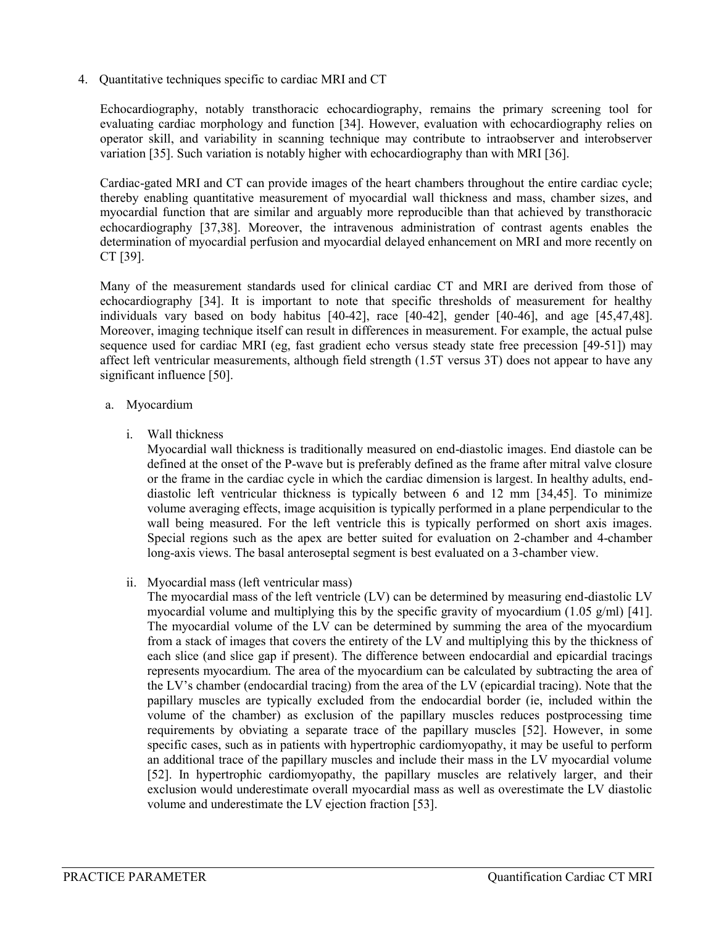4. Quantitative techniques specific to cardiac MRI and CT

Echocardiography, notably transthoracic echocardiography, remains the primary screening tool for evaluating cardiac morphology and function [\[34\]](#page-27-6). However, evaluation with echocardiography relies on operator skill, and variability in scanning technique may contribute to intraobserver and interobserver variation [\[35\]](#page-27-7). Such variation is notably higher with echocardiography than with MRI [\[36\]](#page-27-8).

Cardiac-gated MRI and CT can provide images of the heart chambers throughout the entire cardiac cycle; thereby enabling quantitative measurement of myocardial wall thickness and mass, chamber sizes, and myocardial function that are similar and arguably more reproducible than that achieved by transthoracic echocardiography [\[37](#page-27-9)[,38\]](#page-27-10). Moreover, the intravenous administration of contrast agents enables the determination of myocardial perfusion and myocardial delayed enhancement on MRI and more recently on CT [\[39\]](#page-27-11).

Many of the measurement standards used for clinical cardiac CT and MRI are derived from those of echocardiography [\[34\]](#page-27-6). It is important to note that specific thresholds of measurement for healthy individuals vary based on body habitus [\[40-42\]](#page-27-12), race [\[40-42\]](#page-27-12), gender [\[40-46\]](#page-27-12), and age [\[45](#page-28-0)[,47](#page-28-1)[,48\]](#page-28-2). Moreover, imaging technique itself can result in differences in measurement. For example, the actual pulse sequence used for cardiac MRI (eg, fast gradient echo versus steady state free precession [\[49-51\]](#page-28-3)) may affect left ventricular measurements, although field strength (1.5T versus 3T) does not appear to have any significant influence [\[50\]](#page-28-4).

#### a. Myocardium

i. Wall thickness

Myocardial wall thickness is traditionally measured on end-diastolic images. End diastole can be defined at the onset of the P-wave but is preferably defined as the frame after mitral valve closure or the frame in the cardiac cycle in which the cardiac dimension is largest. In healthy adults, enddiastolic left ventricular thickness is typically between 6 and 12 mm [\[34](#page-27-6)[,45\]](#page-28-0). To minimize volume averaging effects, image acquisition is typically performed in a plane perpendicular to the wall being measured. For the left ventricle this is typically performed on short axis images. Special regions such as the apex are better suited for evaluation on 2-chamber and 4-chamber long-axis views. The basal anteroseptal segment is best evaluated on a 3-chamber view.

ii. Myocardial mass (left ventricular mass)

The myocardial mass of the left ventricle (LV) can be determined by measuring end-diastolic LV myocardial volume and multiplying this by the specific gravity of myocardium (1.05 g/ml) [\[41\]](#page-27-13). The myocardial volume of the LV can be determined by summing the area of the myocardium from a stack of images that covers the entirety of the LV and multiplying this by the thickness of each slice (and slice gap if present). The difference between endocardial and epicardial tracings represents myocardium. The area of the myocardium can be calculated by subtracting the area of the LV's chamber (endocardial tracing) from the area of the LV (epicardial tracing). Note that the papillary muscles are typically excluded from the endocardial border (ie, included within the volume of the chamber) as exclusion of the papillary muscles reduces postprocessing time requirements by obviating a separate trace of the papillary muscles [\[52\]](#page-28-5). However, in some specific cases, such as in patients with hypertrophic cardiomyopathy, it may be useful to perform an additional trace of the papillary muscles and include their mass in the LV myocardial volume [\[52\]](#page-28-5). In hypertrophic cardiomyopathy, the papillary muscles are relatively larger, and their exclusion would underestimate overall myocardial mass as well as overestimate the LV diastolic volume and underestimate the LV ejection fraction [\[53\]](#page-28-6).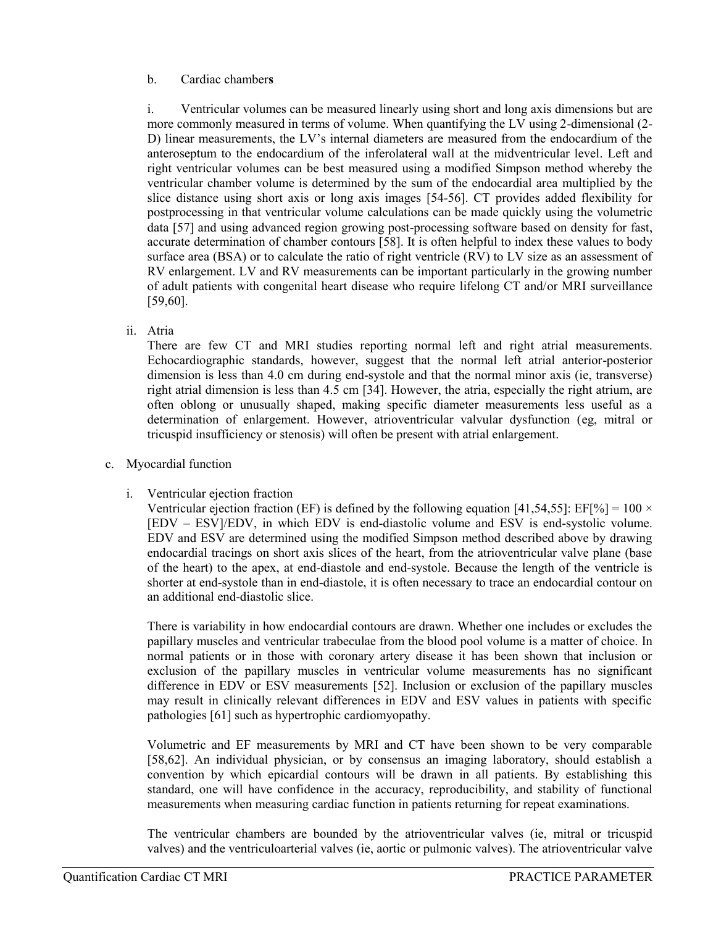## b. Cardiac chamber**s**

i. Ventricular volumes can be measured linearly using short and long axis dimensions but are more commonly measured in terms of volume. When quantifying the LV using 2-dimensional (2- D) linear measurements, the LV's internal diameters are measured from the endocardium of the anteroseptum to the endocardium of the inferolateral wall at the midventricular level. Left and right ventricular volumes can be best measured using a modified Simpson method whereby the ventricular chamber volume is determined by the sum of the endocardial area multiplied by the slice distance using short axis or long axis images [\[54-56\]](#page-28-7). CT provides added flexibility for postprocessing in that ventricular volume calculations can be made quickly using the volumetric data [\[57\]](#page-28-8) and using advanced region growing post-processing software based on density for fast, accurate determination of chamber contours [\[58\]](#page-28-9). It is often helpful to index these values to body surface area (BSA) or to calculate the ratio of right ventricle (RV) to LV size as an assessment of RV enlargement. LV and RV measurements can be important particularly in the growing number of adult patients with congenital heart disease who require lifelong CT and/or MRI surveillance [\[59](#page-28-10)[,60\]](#page-28-11).

ii. Atria

There are few CT and MRI studies reporting normal left and right atrial measurements. Echocardiographic standards, however, suggest that the normal left atrial anterior-posterior dimension is less than 4.0 cm during end-systole and that the normal minor axis (ie, transverse) right atrial dimension is less than 4.5 cm [\[34\]](#page-27-6). However, the atria, especially the right atrium, are often oblong or unusually shaped, making specific diameter measurements less useful as a determination of enlargement. However, atrioventricular valvular dysfunction (eg, mitral or tricuspid insufficiency or stenosis) will often be present with atrial enlargement.

#### c. Myocardial function

i. Ventricular ejection fraction

Ventricular ejection fraction (EF) is defined by the following equation [\[41](#page-27-13)[,54](#page-28-7)[,55\]](#page-28-12): EF[%] = 100  $\times$ [EDV – ESV]/EDV, in which EDV is end-diastolic volume and ESV is end-systolic volume. EDV and ESV are determined using the modified Simpson method described above by drawing endocardial tracings on short axis slices of the heart, from the atrioventricular valve plane (base of the heart) to the apex, at end-diastole and end-systole. Because the length of the ventricle is shorter at end-systole than in end-diastole, it is often necessary to trace an endocardial contour on an additional end-diastolic slice.

There is variability in how endocardial contours are drawn. Whether one includes or excludes the papillary muscles and ventricular trabeculae from the blood pool volume is a matter of choice. In normal patients or in those with coronary artery disease it has been shown that inclusion or exclusion of the papillary muscles in ventricular volume measurements has no significant difference in EDV or ESV measurements [\[52\]](#page-28-5). Inclusion or exclusion of the papillary muscles may result in clinically relevant differences in EDV and ESV values in patients with specific pathologies [\[61\]](#page-28-13) such as hypertrophic cardiomyopathy.

Volumetric and EF measurements by MRI and CT have been shown to be very comparable [\[58](#page-28-9)[,62\]](#page-28-14). An individual physician, or by consensus an imaging laboratory, should establish a convention by which epicardial contours will be drawn in all patients. By establishing this standard, one will have confidence in the accuracy, reproducibility, and stability of functional measurements when measuring cardiac function in patients returning for repeat examinations.

The ventricular chambers are bounded by the atrioventricular valves (ie, mitral or tricuspid valves) and the ventriculoarterial valves (ie, aortic or pulmonic valves). The atrioventricular valve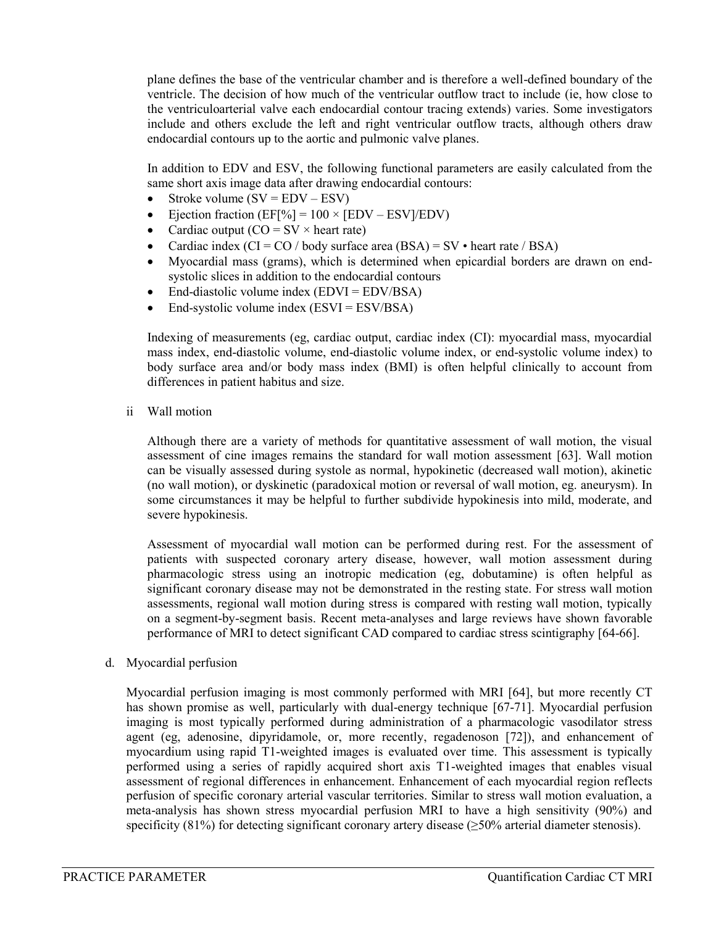plane defines the base of the ventricular chamber and is therefore a well-defined boundary of the ventricle. The decision of how much of the ventricular outflow tract to include (ie, how close to the ventriculoarterial valve each endocardial contour tracing extends) varies. Some investigators include and others exclude the left and right ventricular outflow tracts, although others draw endocardial contours up to the aortic and pulmonic valve planes.

In addition to EDV and ESV, the following functional parameters are easily calculated from the same short axis image data after drawing endocardial contours:

- Stroke volume  $(SV = EDV ESV)$
- Ejection fraction (EF[%] =  $100 \times$  [EDV ESV]/EDV)
- Cardiac output  $(CO = SV \times heart$  rate)
- Cardiac index  $(CI = CO / body$  surface area  $(BSA) = SV$  heart rate / BSA)
- Myocardial mass (grams), which is determined when epicardial borders are drawn on endsystolic slices in addition to the endocardial contours
- End-diastolic volume index  $(EDVI = EDV/BSA)$
- End-systolic volume index (ESVI = ESV/BSA)

Indexing of measurements (eg, cardiac output, cardiac index (CI): myocardial mass, myocardial mass index, end-diastolic volume, end-diastolic volume index, or end-systolic volume index) to body surface area and/or body mass index (BMI) is often helpful clinically to account from differences in patient habitus and size.

ii Wall motion

Although there are a variety of methods for quantitative assessment of wall motion, the visual assessment of cine images remains the standard for wall motion assessment [\[63\]](#page-29-0). Wall motion can be visually assessed during systole as normal, hypokinetic (decreased wall motion), akinetic (no wall motion), or dyskinetic (paradoxical motion or reversal of wall motion, eg. aneurysm). In some circumstances it may be helpful to further subdivide hypokinesis into mild, moderate, and severe hypokinesis.

Assessment of myocardial wall motion can be performed during rest. For the assessment of patients with suspected coronary artery disease, however, wall motion assessment during pharmacologic stress using an inotropic medication (eg, dobutamine) is often helpful as significant coronary disease may not be demonstrated in the resting state. For stress wall motion assessments, regional wall motion during stress is compared with resting wall motion, typically on a segment-by-segment basis. Recent meta-analyses and large reviews have shown favorable performance of MRI to detect significant CAD compared to cardiac stress scintigraphy [\[64-66\]](#page-29-1).

d. Myocardial perfusion

Myocardial perfusion imaging is most commonly performed with MRI [\[64\]](#page-29-1), but more recently CT has shown promise as well, particularly with dual-energy technique [\[67-71\]](#page-29-2). Myocardial perfusion imaging is most typically performed during administration of a pharmacologic vasodilator stress agent (eg, adenosine, dipyridamole, or, more recently, regadenoson [\[72\]](#page-29-3)), and enhancement of myocardium using rapid T1-weighted images is evaluated over time. This assessment is typically performed using a series of rapidly acquired short axis T1-weighted images that enables visual assessment of regional differences in enhancement. Enhancement of each myocardial region reflects perfusion of specific coronary arterial vascular territories. Similar to stress wall motion evaluation, a meta-analysis has shown stress myocardial perfusion MRI to have a high sensitivity (90%) and specificity  $(81\%)$  for detecting significant coronary artery disease ( $\geq$ 50% arterial diameter stenosis).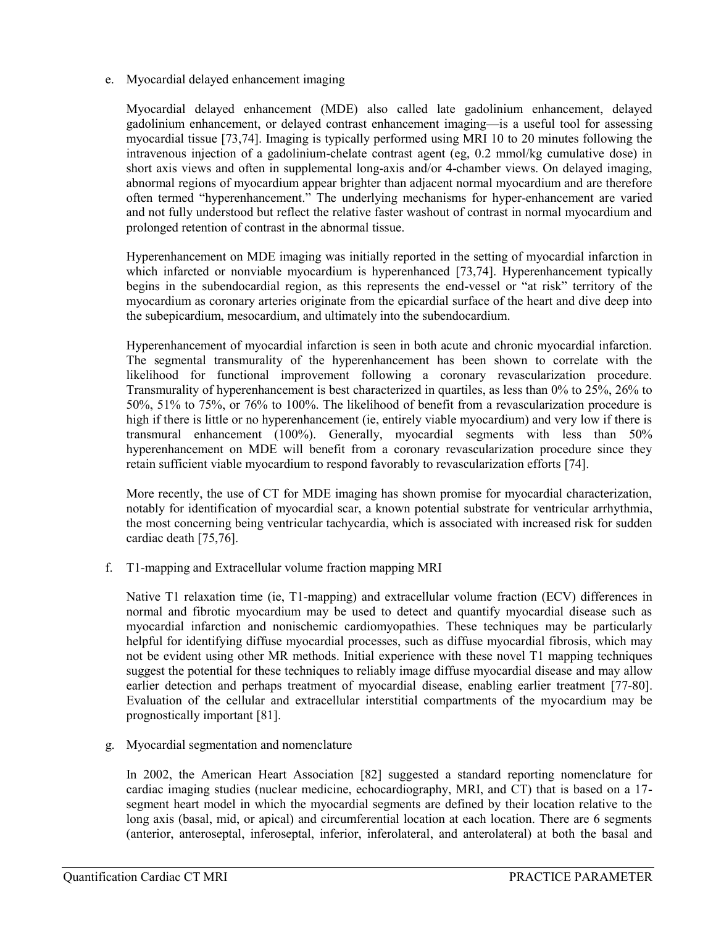e. Myocardial delayed enhancement imaging

Myocardial delayed enhancement (MDE) also called late gadolinium enhancement, delayed gadolinium enhancement, or delayed contrast enhancement imaging—is a useful tool for assessing myocardial tissue [\[73](#page-29-4)[,74\]](#page-29-5). Imaging is typically performed using MRI 10 to 20 minutes following the intravenous injection of a gadolinium-chelate contrast agent (eg, 0.2 mmol/kg cumulative dose) in short axis views and often in supplemental long-axis and/or 4-chamber views. On delayed imaging, abnormal regions of myocardium appear brighter than adjacent normal myocardium and are therefore often termed "hyperenhancement." The underlying mechanisms for hyper-enhancement are varied and not fully understood but reflect the relative faster washout of contrast in normal myocardium and prolonged retention of contrast in the abnormal tissue.

Hyperenhancement on MDE imaging was initially reported in the setting of myocardial infarction in which infarcted or nonviable myocardium is hyperenhanced [\[73](#page-29-4)[,74\]](#page-29-5). Hyperenhancement typically begins in the subendocardial region, as this represents the end-vessel or "at risk" territory of the myocardium as coronary arteries originate from the epicardial surface of the heart and dive deep into the subepicardium, mesocardium, and ultimately into the subendocardium.

Hyperenhancement of myocardial infarction is seen in both acute and chronic myocardial infarction. The segmental transmurality of the hyperenhancement has been shown to correlate with the likelihood for functional improvement following a coronary revascularization procedure. Transmurality of hyperenhancement is best characterized in quartiles, as less than 0% to 25%, 26% to 50%, 51% to 75%, or 76% to 100%. The likelihood of benefit from a revascularization procedure is high if there is little or no hyperenhancement (ie, entirely viable myocardium) and very low if there is transmural enhancement (100%). Generally, myocardial segments with less than 50% hyperenhancement on MDE will benefit from a coronary revascularization procedure since they retain sufficient viable myocardium to respond favorably to revascularization efforts [\[74\]](#page-29-5).

More recently, the use of CT for MDE imaging has shown promise for myocardial characterization, notably for identification of myocardial scar, a known potential substrate for ventricular arrhythmia, the most concerning being ventricular tachycardia, which is associated with increased risk for sudden cardiac death [\[75](#page-29-6)[,76\]](#page-29-7).

f. T1-mapping and Extracellular volume fraction mapping MRI

Native T1 relaxation time (ie, T1-mapping) and extracellular volume fraction (ECV) differences in normal and fibrotic myocardium may be used to detect and quantify myocardial disease such as myocardial infarction and nonischemic cardiomyopathies. These techniques may be particularly helpful for identifying diffuse myocardial processes, such as diffuse myocardial fibrosis, which may not be evident using other MR methods. Initial experience with these novel T1 mapping techniques suggest the potential for these techniques to reliably image diffuse myocardial disease and may allow earlier detection and perhaps treatment of myocardial disease, enabling earlier treatment [\[77-80\]](#page-29-8). Evaluation of the cellular and extracellular interstitial compartments of the myocardium may be prognostically important [\[81\]](#page-29-9).

g. Myocardial segmentation and nomenclature

In 2002, the American Heart Association [\[82\]](#page-29-10) suggested a standard reporting nomenclature for cardiac imaging studies (nuclear medicine, echocardiography, MRI, and CT) that is based on a 17 segment heart model in which the myocardial segments are defined by their location relative to the long axis (basal, mid, or apical) and circumferential location at each location. There are 6 segments (anterior, anteroseptal, inferoseptal, inferior, inferolateral, and anterolateral) at both the basal and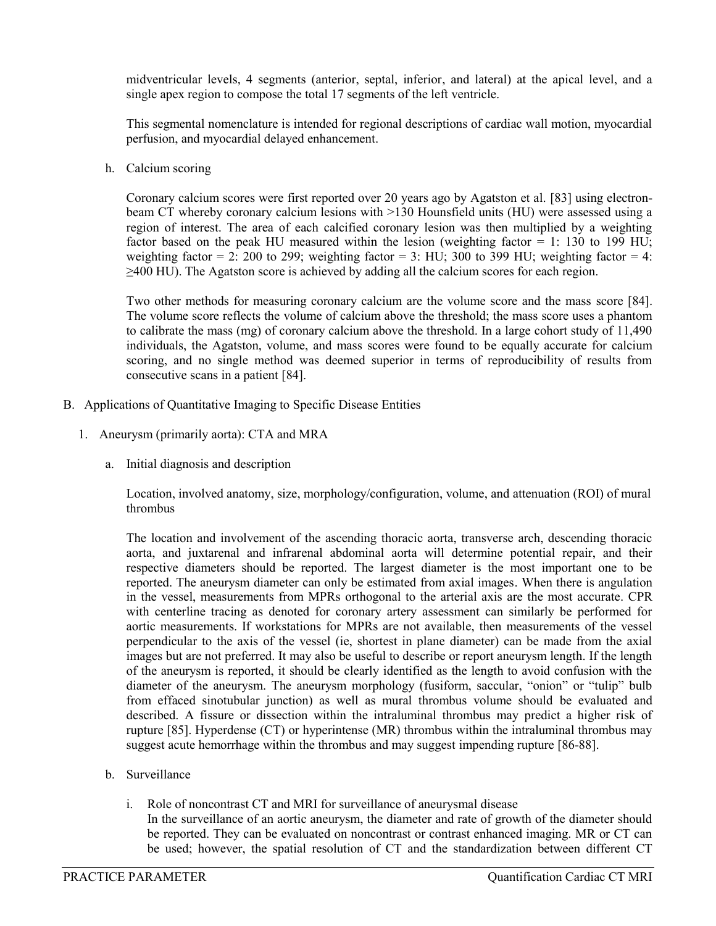midventricular levels, 4 segments (anterior, septal, inferior, and lateral) at the apical level, and a single apex region to compose the total 17 segments of the left ventricle.

This segmental nomenclature is intended for regional descriptions of cardiac wall motion, myocardial perfusion, and myocardial delayed enhancement.

h. Calcium scoring

Coronary calcium scores were first reported over 20 years ago by Agatston et al. [\[83\]](#page-30-0) using electronbeam CT whereby coronary calcium lesions with >130 Hounsfield units (HU) were assessed using a region of interest. The area of each calcified coronary lesion was then multiplied by a weighting factor based on the peak HU measured within the lesion (weighting factor  $= 1: 130$  to 199 HU; weighting factor = 2: 200 to 299; weighting factor = 3: HU; 300 to 399 HU; weighting factor = 4: ≥400 HU). The Agatston score is achieved by adding all the calcium scores for each region.

Two other methods for measuring coronary calcium are the volume score and the mass score [\[84\]](#page-30-1). The volume score reflects the volume of calcium above the threshold; the mass score uses a phantom to calibrate the mass (mg) of coronary calcium above the threshold. In a large cohort study of 11,490 individuals, the Agatston, volume, and mass scores were found to be equally accurate for calcium scoring, and no single method was deemed superior in terms of reproducibility of results from consecutive scans in a patient [\[84\]](#page-30-1).

- B. Applications of Quantitative Imaging to Specific Disease Entities
	- 1. Aneurysm (primarily aorta): CTA and MRA
		- a. Initial diagnosis and description

Location, involved anatomy, size, morphology/configuration, volume, and attenuation (ROI) of mural thrombus

The location and involvement of the ascending thoracic aorta, transverse arch, descending thoracic aorta, and juxtarenal and infrarenal abdominal aorta will determine potential repair, and their respective diameters should be reported. The largest diameter is the most important one to be reported. The aneurysm diameter can only be estimated from axial images. When there is angulation in the vessel, measurements from MPRs orthogonal to the arterial axis are the most accurate. CPR with centerline tracing as denoted for coronary artery assessment can similarly be performed for aortic measurements. If workstations for MPRs are not available, then measurements of the vessel perpendicular to the axis of the vessel (ie, shortest in plane diameter) can be made from the axial images but are not preferred. It may also be useful to describe or report aneurysm length. If the length of the aneurysm is reported, it should be clearly identified as the length to avoid confusion with the diameter of the aneurysm. The aneurysm morphology (fusiform, saccular, "onion" or "tulip" bulb from effaced sinotubular junction) as well as mural thrombus volume should be evaluated and described. A fissure or dissection within the intraluminal thrombus may predict a higher risk of rupture [\[85\]](#page-30-2). Hyperdense (CT) or hyperintense (MR) thrombus within the intraluminal thrombus may suggest acute hemorrhage within the thrombus and may suggest impending rupture [\[86-88\]](#page-30-3).

- b. Surveillance
	- i. Role of noncontrast CT and MRI for surveillance of aneurysmal disease In the surveillance of an aortic aneurysm, the diameter and rate of growth of the diameter should be reported. They can be evaluated on noncontrast or contrast enhanced imaging. MR or CT can be used; however, the spatial resolution of CT and the standardization between different CT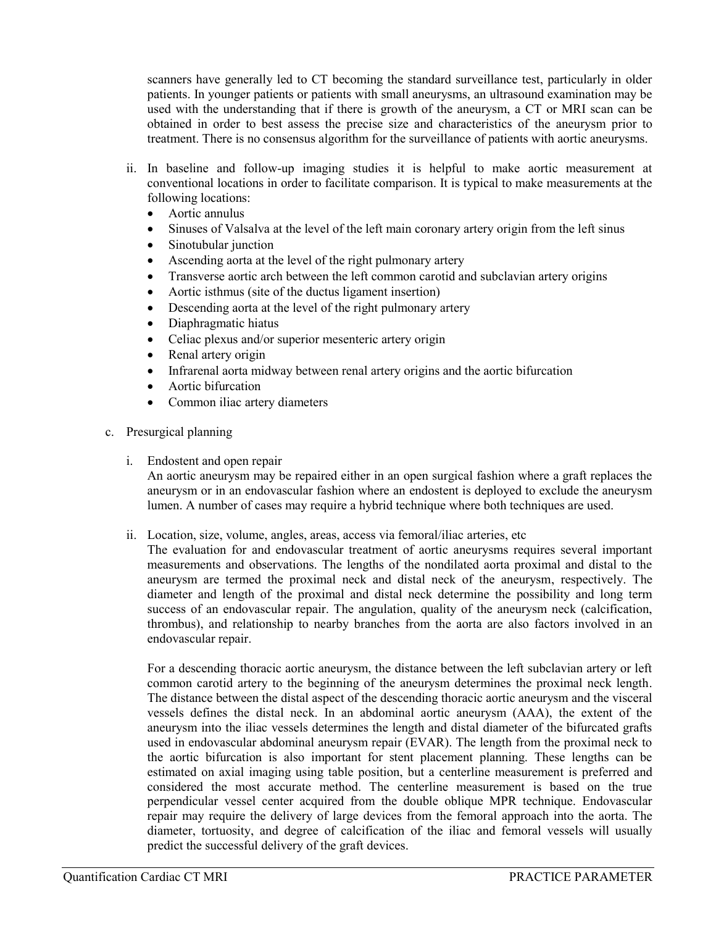scanners have generally led to CT becoming the standard surveillance test, particularly in older patients. In younger patients or patients with small aneurysms, an ultrasound examination may be used with the understanding that if there is growth of the aneurysm, a CT or MRI scan can be obtained in order to best assess the precise size and characteristics of the aneurysm prior to treatment. There is no consensus algorithm for the surveillance of patients with aortic aneurysms.

- ii. In baseline and follow-up imaging studies it is helpful to make aortic measurement at conventional locations in order to facilitate comparison. It is typical to make measurements at the following locations:
	- Aortic annulus
	- Sinuses of Valsalva at the level of the left main coronary artery origin from the left sinus
	- Sinotubular junction
	- Ascending aorta at the level of the right pulmonary artery
	- Transverse aortic arch between the left common carotid and subclavian artery origins
	- Aortic isthmus (site of the ductus ligament insertion)
	- Descending aorta at the level of the right pulmonary artery
	- Diaphragmatic hiatus
	- Celiac plexus and/or superior mesenteric artery origin
	- Renal artery origin
	- Infrarenal aorta midway between renal artery origins and the aortic bifurcation
	- Aortic bifurcation
	- Common iliac artery diameters
- c. Presurgical planning
	- i. Endostent and open repair

An aortic aneurysm may be repaired either in an open surgical fashion where a graft replaces the aneurysm or in an endovascular fashion where an endostent is deployed to exclude the aneurysm lumen. A number of cases may require a hybrid technique where both techniques are used.

ii. Location, size, volume, angles, areas, access via femoral/iliac arteries, etc

The evaluation for and endovascular treatment of aortic aneurysms requires several important measurements and observations. The lengths of the nondilated aorta proximal and distal to the aneurysm are termed the proximal neck and distal neck of the aneurysm, respectively. The diameter and length of the proximal and distal neck determine the possibility and long term success of an endovascular repair. The angulation, quality of the aneurysm neck (calcification, thrombus), and relationship to nearby branches from the aorta are also factors involved in an endovascular repair.

For a descending thoracic aortic aneurysm, the distance between the left subclavian artery or left common carotid artery to the beginning of the aneurysm determines the proximal neck length. The distance between the distal aspect of the descending thoracic aortic aneurysm and the visceral vessels defines the distal neck. In an abdominal aortic aneurysm (AAA), the extent of the aneurysm into the iliac vessels determines the length and distal diameter of the bifurcated grafts used in endovascular abdominal aneurysm repair (EVAR). The length from the proximal neck to the aortic bifurcation is also important for stent placement planning. These lengths can be estimated on axial imaging using table position, but a centerline measurement is preferred and considered the most accurate method. The centerline measurement is based on the true perpendicular vessel center acquired from the double oblique MPR technique. Endovascular repair may require the delivery of large devices from the femoral approach into the aorta. The diameter, tortuosity, and degree of calcification of the iliac and femoral vessels will usually predict the successful delivery of the graft devices.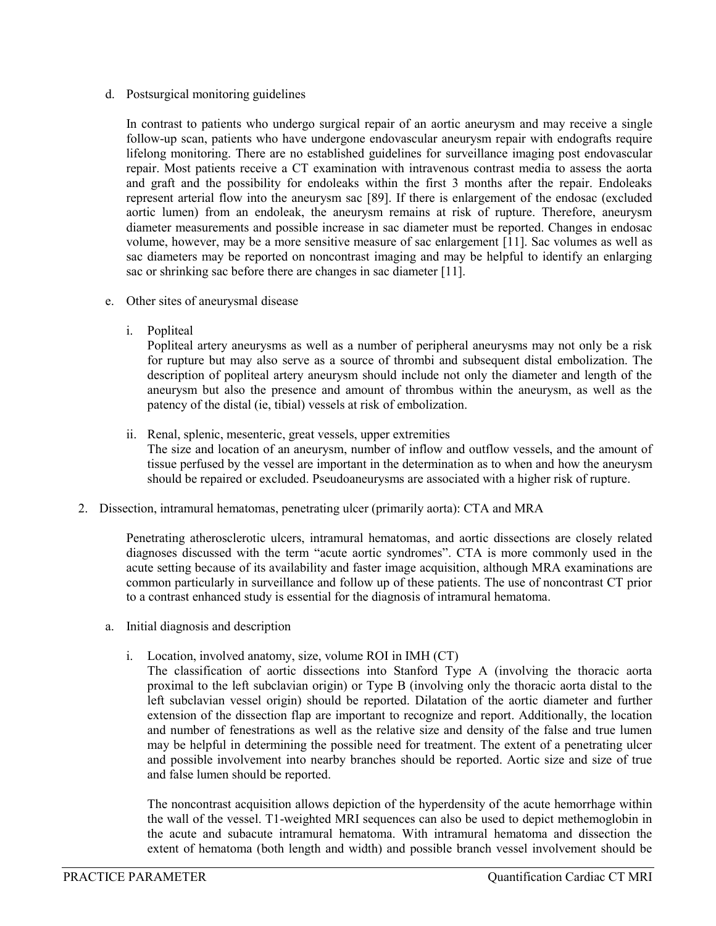## d. Postsurgical monitoring guidelines

In contrast to patients who undergo surgical repair of an aortic aneurysm and may receive a single follow-up scan, patients who have undergone endovascular aneurysm repair with endografts require lifelong monitoring. There are no established guidelines for surveillance imaging post endovascular repair. Most patients receive a CT examination with intravenous contrast media to assess the aorta and graft and the possibility for endoleaks within the first 3 months after the repair. Endoleaks represent arterial flow into the aneurysm sac [\[89\]](#page-30-4). If there is enlargement of the endosac (excluded aortic lumen) from an endoleak, the aneurysm remains at risk of rupture. Therefore, aneurysm diameter measurements and possible increase in sac diameter must be reported. Changes in endosac volume, however, may be a more sensitive measure of sac enlargement [\[11\]](#page-26-10). Sac volumes as well as sac diameters may be reported on noncontrast imaging and may be helpful to identify an enlarging sac or shrinking sac before there are changes in sac diameter [\[11\]](#page-26-10).

- e. Other sites of aneurysmal disease
	- i. Popliteal

Popliteal artery aneurysms as well as a number of peripheral aneurysms may not only be a risk for rupture but may also serve as a source of thrombi and subsequent distal embolization. The description of popliteal artery aneurysm should include not only the diameter and length of the aneurysm but also the presence and amount of thrombus within the aneurysm, as well as the patency of the distal (ie, tibial) vessels at risk of embolization.

ii. Renal, splenic, mesenteric, great vessels, upper extremities

The size and location of an aneurysm, number of inflow and outflow vessels, and the amount of tissue perfused by the vessel are important in the determination as to when and how the aneurysm should be repaired or excluded. Pseudoaneurysms are associated with a higher risk of rupture.

2. Dissection, intramural hematomas, penetrating ulcer (primarily aorta): CTA and MRA

Penetrating atherosclerotic ulcers, intramural hematomas, and aortic dissections are closely related diagnoses discussed with the term "acute aortic syndromes". CTA is more commonly used in the acute setting because of its availability and faster image acquisition, although MRA examinations are common particularly in surveillance and follow up of these patients. The use of noncontrast CT prior to a contrast enhanced study is essential for the diagnosis of intramural hematoma.

- a. Initial diagnosis and description
	- i. Location, involved anatomy, size, volume ROI in IMH (CT)

The classification of aortic dissections into Stanford Type A (involving the thoracic aorta proximal to the left subclavian origin) or Type B (involving only the thoracic aorta distal to the left subclavian vessel origin) should be reported. Dilatation of the aortic diameter and further extension of the dissection flap are important to recognize and report. Additionally, the location and number of fenestrations as well as the relative size and density of the false and true lumen may be helpful in determining the possible need for treatment. The extent of a penetrating ulcer and possible involvement into nearby branches should be reported. Aortic size and size of true and false lumen should be reported.

The noncontrast acquisition allows depiction of the hyperdensity of the acute hemorrhage within the wall of the vessel. T1-weighted MRI sequences can also be used to depict methemoglobin in the acute and subacute intramural hematoma. With intramural hematoma and dissection the extent of hematoma (both length and width) and possible branch vessel involvement should be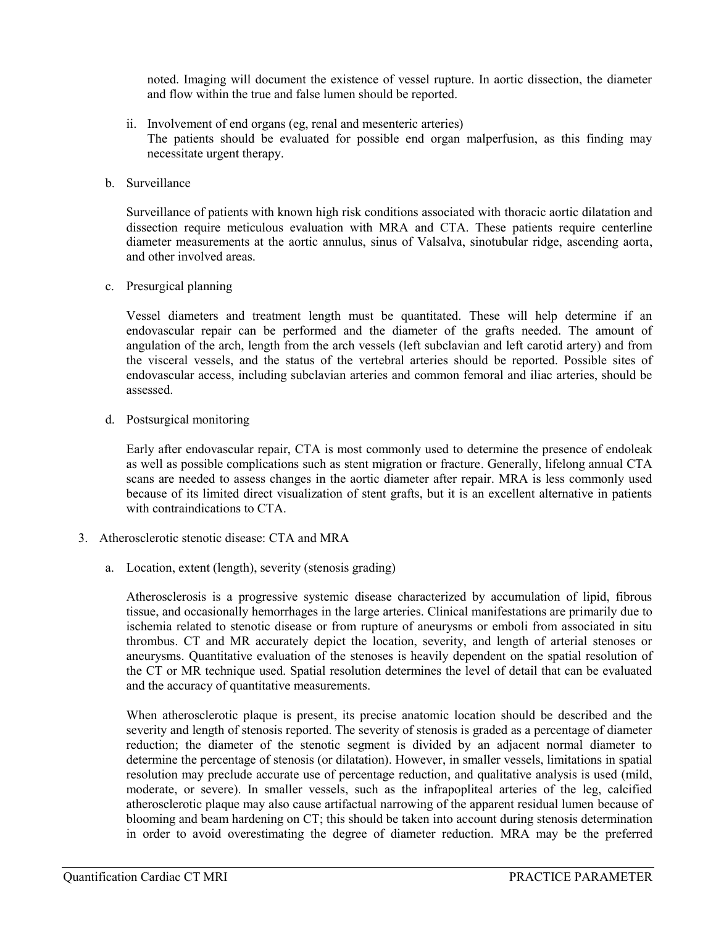noted. Imaging will document the existence of vessel rupture. In aortic dissection, the diameter and flow within the true and false lumen should be reported.

- ii. Involvement of end organs (eg, renal and mesenteric arteries) The patients should be evaluated for possible end organ malperfusion, as this finding may necessitate urgent therapy.
- b. Surveillance

Surveillance of patients with known high risk conditions associated with thoracic aortic dilatation and dissection require meticulous evaluation with MRA and CTA. These patients require centerline diameter measurements at the aortic annulus, sinus of Valsalva, sinotubular ridge, ascending aorta, and other involved areas.

c. Presurgical planning

Vessel diameters and treatment length must be quantitated. These will help determine if an endovascular repair can be performed and the diameter of the grafts needed. The amount of angulation of the arch, length from the arch vessels (left subclavian and left carotid artery) and from the visceral vessels, and the status of the vertebral arteries should be reported. Possible sites of endovascular access, including subclavian arteries and common femoral and iliac arteries, should be assessed.

d. Postsurgical monitoring

Early after endovascular repair, CTA is most commonly used to determine the presence of endoleak as well as possible complications such as stent migration or fracture. Generally, lifelong annual CTA scans are needed to assess changes in the aortic diameter after repair. MRA is less commonly used because of its limited direct visualization of stent grafts, but it is an excellent alternative in patients with contraindications to CTA.

- 3. Atherosclerotic stenotic disease: CTA and MRA
	- a. Location, extent (length), severity (stenosis grading)

Atherosclerosis is a progressive systemic disease characterized by accumulation of lipid, fibrous tissue, and occasionally hemorrhages in the large arteries. Clinical manifestations are primarily due to ischemia related to stenotic disease or from rupture of aneurysms or emboli from associated in situ thrombus. CT and MR accurately depict the location, severity, and length of arterial stenoses or aneurysms. Quantitative evaluation of the stenoses is heavily dependent on the spatial resolution of the CT or MR technique used. Spatial resolution determines the level of detail that can be evaluated and the accuracy of quantitative measurements.

When atherosclerotic plaque is present, its precise anatomic location should be described and the severity and length of stenosis reported. The severity of stenosis is graded as a percentage of diameter reduction; the diameter of the stenotic segment is divided by an adjacent normal diameter to determine the percentage of stenosis (or dilatation). However, in smaller vessels, limitations in spatial resolution may preclude accurate use of percentage reduction, and qualitative analysis is used (mild, moderate, or severe). In smaller vessels, such as the infrapopliteal arteries of the leg, calcified atherosclerotic plaque may also cause artifactual narrowing of the apparent residual lumen because of blooming and beam hardening on CT; this should be taken into account during stenosis determination in order to avoid overestimating the degree of diameter reduction. MRA may be the preferred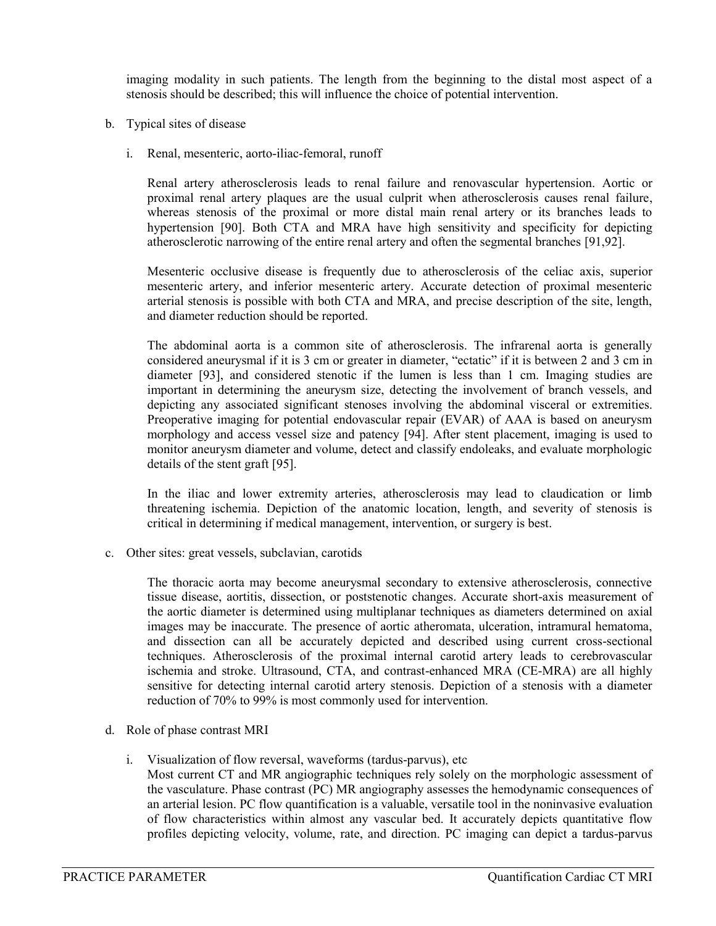imaging modality in such patients. The length from the beginning to the distal most aspect of a stenosis should be described; this will influence the choice of potential intervention.

- b. Typical sites of disease
	- i. Renal, mesenteric, aorto-iliac-femoral, runoff

Renal artery atherosclerosis leads to renal failure and renovascular hypertension. Aortic or proximal renal artery plaques are the usual culprit when atherosclerosis causes renal failure, whereas stenosis of the proximal or more distal main renal artery or its branches leads to hypertension [\[90\]](#page-30-5). Both CTA and MRA have high sensitivity and specificity for depicting atherosclerotic narrowing of the entire renal artery and often the segmental branches [\[91](#page-30-6)[,92\]](#page-30-7).

Mesenteric occlusive disease is frequently due to atherosclerosis of the celiac axis, superior mesenteric artery, and inferior mesenteric artery. Accurate detection of proximal mesenteric arterial stenosis is possible with both CTA and MRA, and precise description of the site, length, and diameter reduction should be reported.

The abdominal aorta is a common site of atherosclerosis. The infrarenal aorta is generally considered aneurysmal if it is 3 cm or greater in diameter, "ectatic" if it is between 2 and 3 cm in diameter [\[93\]](#page-30-8), and considered stenotic if the lumen is less than 1 cm. Imaging studies are important in determining the aneurysm size, detecting the involvement of branch vessels, and depicting any associated significant stenoses involving the abdominal visceral or extremities. Preoperative imaging for potential endovascular repair (EVAR) of AAA is based on aneurysm morphology and access vessel size and patency [\[94\]](#page-30-9). After stent placement, imaging is used to monitor aneurysm diameter and volume, detect and classify endoleaks, and evaluate morphologic details of the stent graft [\[95\]](#page-30-10).

In the iliac and lower extremity arteries, atherosclerosis may lead to claudication or limb threatening ischemia. Depiction of the anatomic location, length, and severity of stenosis is critical in determining if medical management, intervention, or surgery is best.

c. Other sites: great vessels, subclavian, carotids

The thoracic aorta may become aneurysmal secondary to extensive atherosclerosis, connective tissue disease, aortitis, dissection, or poststenotic changes. Accurate short-axis measurement of the aortic diameter is determined using multiplanar techniques as diameters determined on axial images may be inaccurate. The presence of aortic atheromata, ulceration, intramural hematoma, and dissection can all be accurately depicted and described using current cross-sectional techniques. Atherosclerosis of the proximal internal carotid artery leads to cerebrovascular ischemia and stroke. Ultrasound, CTA, and contrast-enhanced MRA (CE-MRA) are all highly sensitive for detecting internal carotid artery stenosis. Depiction of a stenosis with a diameter reduction of 70% to 99% is most commonly used for intervention.

- d. Role of phase contrast MRI
	- i. Visualization of flow reversal, waveforms (tardus-parvus), etc

Most current CT and MR angiographic techniques rely solely on the morphologic assessment of the vasculature. Phase contrast (PC) MR angiography assesses the hemodynamic consequences of an arterial lesion. PC flow quantification is a valuable, versatile tool in the noninvasive evaluation of flow characteristics within almost any vascular bed. It accurately depicts quantitative flow profiles depicting velocity, volume, rate, and direction. PC imaging can depict a tardus-parvus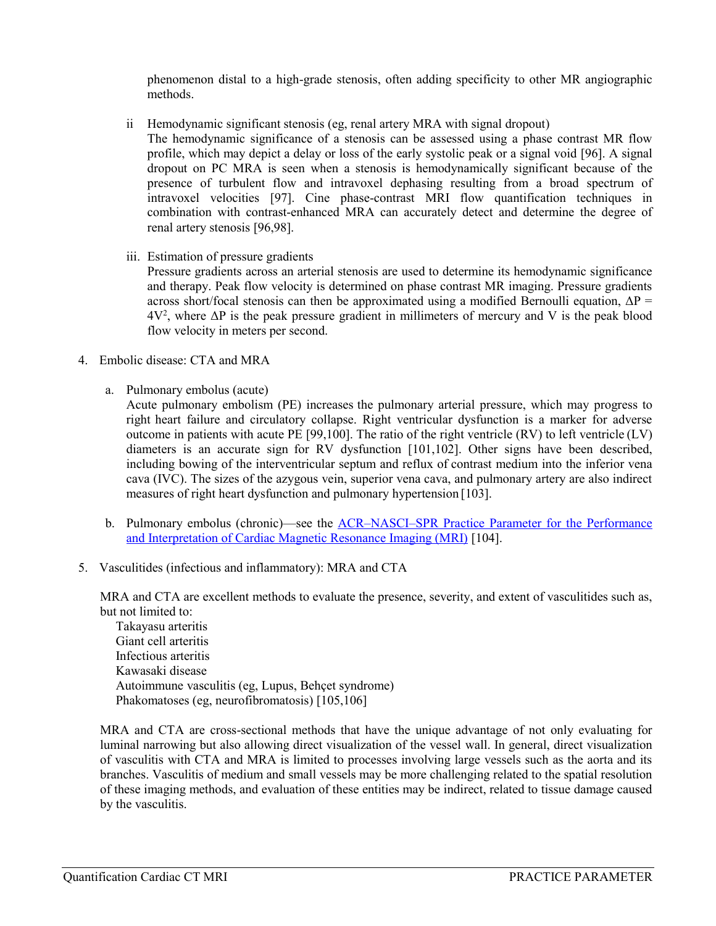phenomenon distal to a high-grade stenosis, often adding specificity to other MR angiographic methods.

ii Hemodynamic significant stenosis (eg, renal artery MRA with signal dropout)

The hemodynamic significance of a stenosis can be assessed using a phase contrast MR flow profile, which may depict a delay or loss of the early systolic peak or a signal void [\[96\]](#page-30-11). A signal dropout on PC MRA is seen when a stenosis is hemodynamically significant because of the presence of turbulent flow and intravoxel dephasing resulting from a broad spectrum of intravoxel velocities [\[97\]](#page-30-12). Cine phase-contrast MRI flow quantification techniques in combination with contrast-enhanced MRA can accurately detect and determine the degree of renal artery stenosis [\[96,](#page-30-11)[98\]](#page-30-13).

iii. Estimation of pressure gradients

Pressure gradients across an arterial stenosis are used to determine its hemodynamic significance and therapy. Peak flow velocity is determined on phase contrast MR imaging. Pressure gradients across short/focal stenosis can then be approximated using a modified Bernoulli equation,  $\Delta P =$  $4V^2$ , where  $\Delta P$  is the peak pressure gradient in millimeters of mercury and V is the peak blood flow velocity in meters per second.

- 4. Embolic disease: CTA and MRA
	- a. Pulmonary embolus (acute)

Acute pulmonary embolism (PE) increases the pulmonary arterial pressure, which may progress to right heart failure and circulatory collapse. Right ventricular dysfunction is a marker for adverse outcome in patients with acute PE  $[99,100]$  $[99,100]$ . The ratio of the right ventricle  $(RV)$  to left ventricle  $(LV)$ diameters is an accurate sign for RV dysfunction [\[101](#page-30-16)[,102\]](#page-30-17). Other signs have been described, including bowing of the interventricular septum and reflux of contrast medium into the inferior vena cava (IVC). The sizes of the azygous vein, superior vena cava, and pulmonary artery are also indirect measures of right heart dysfunction and pulmonary hypertension [\[103\]](#page-30-18).

- b. Pulmonary embolus (chronic)—see the [ACR–NASCI–SPR Practice Parameter for the Performance](https://www.acr.org/-/media/ACR/Files/Practice-Parameters/MR-Cardiac.pdf)  [and Interpretation of Cardiac Magnetic Resonance Imaging \(MRI\)](https://www.acr.org/-/media/ACR/Files/Practice-Parameters/MR-Cardiac.pdf) [\[104\]](#page-31-0).
- 5. Vasculitides (infectious and inflammatory): MRA and CTA

MRA and CTA are excellent methods to evaluate the presence, severity, and extent of vasculitides such as, but not limited to:

Takayasu arteritis Giant cell arteritis Infectious arteritis Kawasaki disease Autoimmune vasculitis (eg, Lupus, Behçet syndrome) Phakomatoses (eg, neurofibromatosis) [\[105](#page-31-1)[,106\]](#page-31-2)

MRA and CTA are cross-sectional methods that have the unique advantage of not only evaluating for luminal narrowing but also allowing direct visualization of the vessel wall. In general, direct visualization of vasculitis with CTA and MRA is limited to processes involving large vessels such as the aorta and its branches. Vasculitis of medium and small vessels may be more challenging related to the spatial resolution of these imaging methods, and evaluation of these entities may be indirect, related to tissue damage caused by the vasculitis.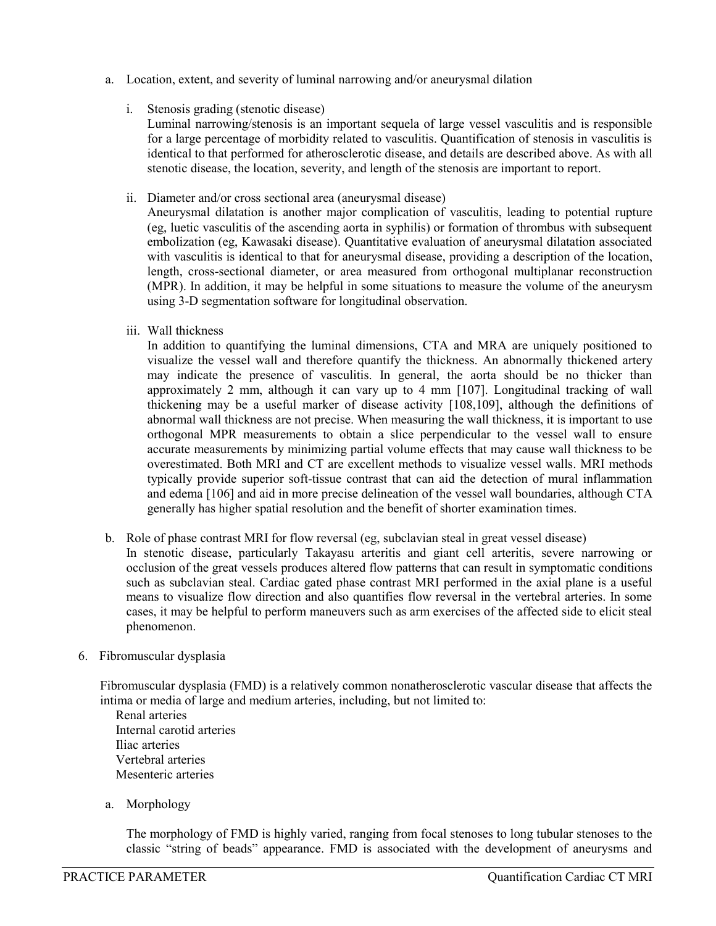- a. Location, extent, and severity of luminal narrowing and/or aneurysmal dilation
	- i. Stenosis grading (stenotic disease)
		- Luminal narrowing/stenosis is an important sequela of large vessel vasculitis and is responsible for a large percentage of morbidity related to vasculitis. Quantification of stenosis in vasculitis is identical to that performed for atherosclerotic disease, and details are described above. As with all stenotic disease, the location, severity, and length of the stenosis are important to report.
	- ii. Diameter and/or cross sectional area (aneurysmal disease)

Aneurysmal dilatation is another major complication of vasculitis, leading to potential rupture (eg, luetic vasculitis of the ascending aorta in syphilis) or formation of thrombus with subsequent embolization (eg, Kawasaki disease). Quantitative evaluation of aneurysmal dilatation associated with vasculitis is identical to that for aneurysmal disease, providing a description of the location, length, cross-sectional diameter, or area measured from orthogonal multiplanar reconstruction (MPR). In addition, it may be helpful in some situations to measure the volume of the aneurysm using 3-D segmentation software for longitudinal observation.

iii. Wall thickness

In addition to quantifying the luminal dimensions, CTA and MRA are uniquely positioned to visualize the vessel wall and therefore quantify the thickness. An abnormally thickened artery may indicate the presence of vasculitis. In general, the aorta should be no thicker than approximately 2 mm, although it can vary up to 4 mm [\[107\]](#page-31-3). Longitudinal tracking of wall thickening may be a useful marker of disease activity [\[108](#page-31-4)[,109\]](#page-31-5), although the definitions of abnormal wall thickness are not precise. When measuring the wall thickness, it is important to use orthogonal MPR measurements to obtain a slice perpendicular to the vessel wall to ensure accurate measurements by minimizing partial volume effects that may cause wall thickness to be overestimated. Both MRI and CT are excellent methods to visualize vessel walls. MRI methods typically provide superior soft-tissue contrast that can aid the detection of mural inflammation and edema [\[106\]](#page-31-2) and aid in more precise delineation of the vessel wall boundaries, although CTA generally has higher spatial resolution and the benefit of shorter examination times.

b. Role of phase contrast MRI for flow reversal (eg, subclavian steal in great vessel disease)

In stenotic disease, particularly Takayasu arteritis and giant cell arteritis, severe narrowing or occlusion of the great vessels produces altered flow patterns that can result in symptomatic conditions such as subclavian steal. Cardiac gated phase contrast MRI performed in the axial plane is a useful means to visualize flow direction and also quantifies flow reversal in the vertebral arteries. In some cases, it may be helpful to perform maneuvers such as arm exercises of the affected side to elicit steal phenomenon.

6. Fibromuscular dysplasia

Fibromuscular dysplasia (FMD) is a relatively common nonatherosclerotic vascular disease that affects the intima or media of large and medium arteries, including, but not limited to:

Renal arteries Internal carotid arteries Iliac arteries Vertebral arteries Mesenteric arteries

a. Morphology

The morphology of FMD is highly varied, ranging from focal stenoses to long tubular stenoses to the classic "string of beads" appearance. FMD is associated with the development of aneurysms and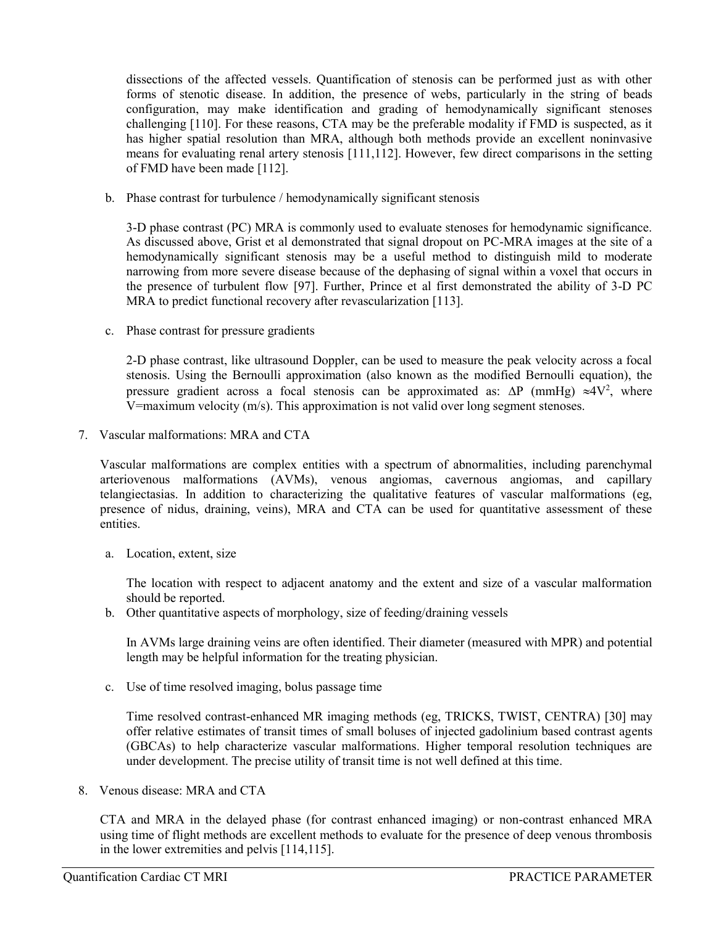dissections of the affected vessels. Quantification of stenosis can be performed just as with other forms of stenotic disease. In addition, the presence of webs, particularly in the string of beads configuration, may make identification and grading of hemodynamically significant stenoses challenging [\[110\]](#page-31-6). For these reasons, CTA may be the preferable modality if FMD is suspected, as it has higher spatial resolution than MRA, although both methods provide an excellent noninvasive means for evaluating renal artery stenosis [\[111](#page-31-7)[,112\]](#page-31-8). However, few direct comparisons in the setting of FMD have been made [\[112\]](#page-31-8).

b. Phase contrast for turbulence / hemodynamically significant stenosis

3-D phase contrast (PC) MRA is commonly used to evaluate stenoses for hemodynamic significance. As discussed above, Grist et al demonstrated that signal dropout on PC-MRA images at the site of a hemodynamically significant stenosis may be a useful method to distinguish mild to moderate narrowing from more severe disease because of the dephasing of signal within a voxel that occurs in the presence of turbulent flow [\[97\]](#page-30-12). Further, Prince et al first demonstrated the ability of 3-D PC MRA to predict functional recovery after revascularization [\[113\]](#page-31-9).

c. Phase contrast for pressure gradients

2-D phase contrast, like ultrasound Doppler, can be used to measure the peak velocity across a focal stenosis. Using the Bernoulli approximation (also known as the modified Bernoulli equation), the pressure gradient across a focal stenosis can be approximated as:  $\Delta P$  (mmHg)  $\approx 4V^2$ , where V=maximum velocity (m/s). This approximation is not valid over long segment stenoses.

7. Vascular malformations: MRA and CTA

Vascular malformations are complex entities with a spectrum of abnormalities, including parenchymal arteriovenous malformations (AVMs), venous angiomas, cavernous angiomas, and capillary telangiectasias. In addition to characterizing the qualitative features of vascular malformations (eg, presence of nidus, draining, veins), MRA and CTA can be used for quantitative assessment of these entities.

a. Location, extent, size

The location with respect to adjacent anatomy and the extent and size of a vascular malformation should be reported.

b. Other quantitative aspects of morphology, size of feeding/draining vessels

In AVMs large draining veins are often identified. Their diameter (measured with MPR) and potential length may be helpful information for the treating physician.

c. Use of time resolved imaging, bolus passage time

Time resolved contrast-enhanced MR imaging methods (eg, TRICKS, TWIST, CENTRA) [\[30\]](#page-27-14) may offer relative estimates of transit times of small boluses of injected gadolinium based contrast agents (GBCAs) to help characterize vascular malformations. Higher temporal resolution techniques are under development. The precise utility of transit time is not well defined at this time.

8. Venous disease: MRA and CTA

CTA and MRA in the delayed phase (for contrast enhanced imaging) or non-contrast enhanced MRA using time of flight methods are excellent methods to evaluate for the presence of deep venous thrombosis in the lower extremities and pelvis [\[114](#page-31-10)[,115\]](#page-31-11).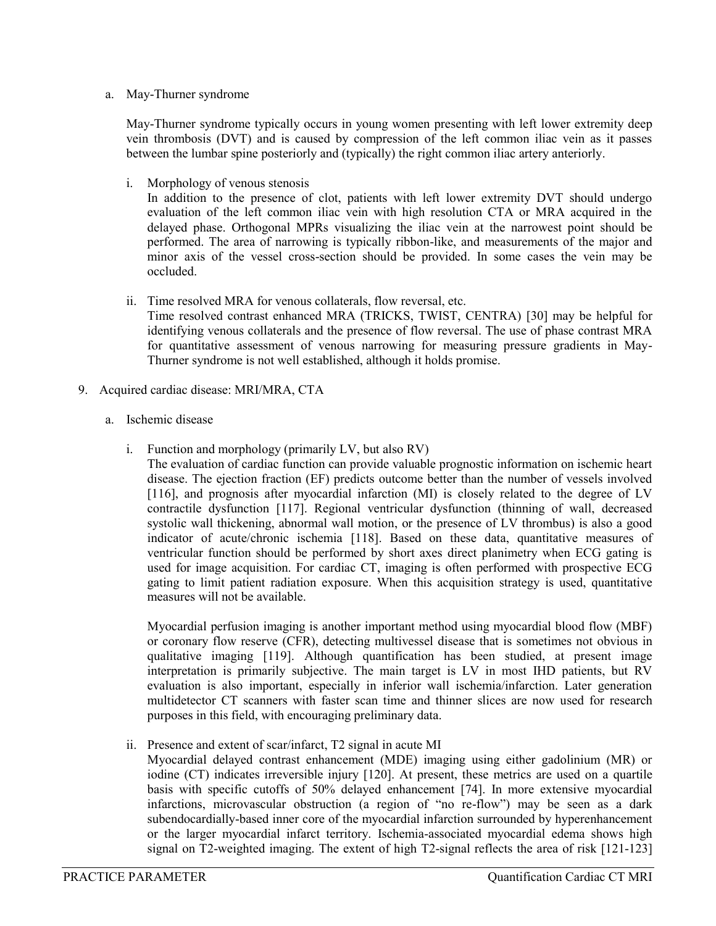## a. May-Thurner syndrome

May-Thurner syndrome typically occurs in young women presenting with left lower extremity deep vein thrombosis (DVT) and is caused by compression of the left common iliac vein as it passes between the lumbar spine posteriorly and (typically) the right common iliac artery anteriorly.

i. Morphology of venous stenosis

In addition to the presence of clot, patients with left lower extremity DVT should undergo evaluation of the left common iliac vein with high resolution CTA or MRA acquired in the delayed phase. Orthogonal MPRs visualizing the iliac vein at the narrowest point should be performed. The area of narrowing is typically ribbon-like, and measurements of the major and minor axis of the vessel cross-section should be provided. In some cases the vein may be occluded.

- ii. Time resolved MRA for venous collaterals, flow reversal, etc.
	- Time resolved contrast enhanced MRA (TRICKS, TWIST, CENTRA) [\[30\]](#page-27-14) may be helpful for identifying venous collaterals and the presence of flow reversal. The use of phase contrast MRA for quantitative assessment of venous narrowing for measuring pressure gradients in May-Thurner syndrome is not well established, although it holds promise.
- 9. Acquired cardiac disease: MRI/MRA, CTA
	- a. Ischemic disease
		- i. Function and morphology (primarily LV, but also RV)

The evaluation of cardiac function can provide valuable prognostic information on ischemic heart disease. The ejection fraction (EF) predicts outcome better than the number of vessels involved [\[116\]](#page-31-12), and prognosis after myocardial infarction (MI) is closely related to the degree of LV contractile dysfunction [\[117\]](#page-31-13). Regional ventricular dysfunction (thinning of wall, decreased systolic wall thickening, abnormal wall motion, or the presence of LV thrombus) is also a good indicator of acute/chronic ischemia [\[118\]](#page-31-14). Based on these data, quantitative measures of ventricular function should be performed by short axes direct planimetry when ECG gating is used for image acquisition. For cardiac CT, imaging is often performed with prospective ECG gating to limit patient radiation exposure. When this acquisition strategy is used, quantitative measures will not be available.

Myocardial perfusion imaging is another important method using myocardial blood flow (MBF) or coronary flow reserve (CFR), detecting multivessel disease that is sometimes not obvious in qualitative imaging [\[119\]](#page-31-15). Although quantification has been studied, at present image interpretation is primarily subjective. The main target is LV in most IHD patients, but RV evaluation is also important, especially in inferior wall ischemia/infarction. Later generation multidetector CT scanners with faster scan time and thinner slices are now used for research purposes in this field, with encouraging preliminary data.

ii. Presence and extent of scar/infarct, T2 signal in acute MI

Myocardial delayed contrast enhancement (MDE) imaging using either gadolinium (MR) or iodine (CT) indicates irreversible injury [\[120\]](#page-31-16). At present, these metrics are used on a quartile basis with specific cutoffs of 50% delayed enhancement [\[74\]](#page-29-5). In more extensive myocardial infarctions, microvascular obstruction (a region of "no re-flow") may be seen as a dark subendocardially-based inner core of the myocardial infarction surrounded by hyperenhancement or the larger myocardial infarct territory. Ischemia-associated myocardial edema shows high signal on T2-weighted imaging. The extent of high T2-signal reflects the area of risk [\[121-123\]](#page-31-17)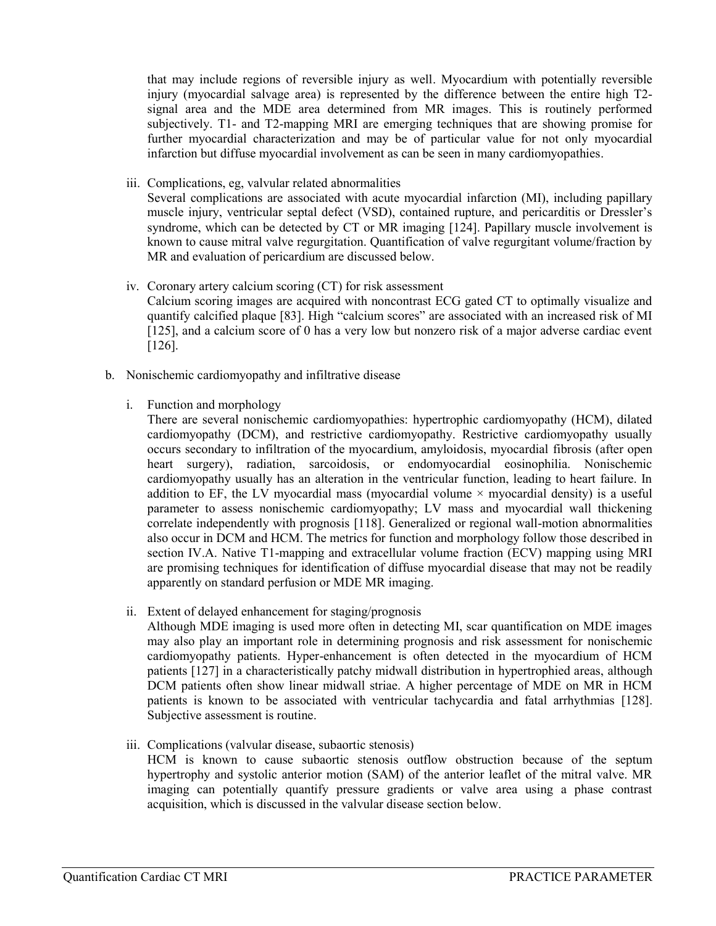that may include regions of reversible injury as well. Myocardium with potentially reversible injury (myocardial salvage area) is represented by the difference between the entire high T2 signal area and the MDE area determined from MR images. This is routinely performed subjectively. T1- and T2-mapping MRI are emerging techniques that are showing promise for further myocardial characterization and may be of particular value for not only myocardial infarction but diffuse myocardial involvement as can be seen in many cardiomyopathies.

iii. Complications, eg, valvular related abnormalities

Several complications are associated with acute myocardial infarction (MI), including papillary muscle injury, ventricular septal defect (VSD), contained rupture, and pericarditis or Dressler's syndrome, which can be detected by CT or MR imaging [\[124\]](#page-31-18). Papillary muscle involvement is known to cause mitral valve regurgitation. Quantification of valve regurgitant volume/fraction by MR and evaluation of pericardium are discussed below.

- iv. Coronary artery calcium scoring (CT) for risk assessment Calcium scoring images are acquired with noncontrast ECG gated CT to optimally visualize and quantify calcified plaque [\[83\]](#page-30-0). High "calcium scores" are associated with an increased risk of MI [\[125\]](#page-31-19), and a calcium score of 0 has a very low but nonzero risk of a major adverse cardiac event [\[126\]](#page-31-20).
- b. Nonischemic cardiomyopathy and infiltrative disease
	- i. Function and morphology
		- There are several nonischemic cardiomyopathies: hypertrophic cardiomyopathy (HCM), dilated cardiomyopathy (DCM), and restrictive cardiomyopathy. Restrictive cardiomyopathy usually occurs secondary to infiltration of the myocardium, amyloidosis, myocardial fibrosis (after open heart surgery), radiation, sarcoidosis, or endomyocardial eosinophilia. Nonischemic cardiomyopathy usually has an alteration in the ventricular function, leading to heart failure. In addition to EF, the LV myocardial mass (myocardial volume  $\times$  myocardial density) is a useful parameter to assess nonischemic cardiomyopathy; LV mass and myocardial wall thickening correlate independently with prognosis [\[118\]](#page-31-14). Generalized or regional wall-motion abnormalities also occur in DCM and HCM. The metrics for function and morphology follow those described in section IV.A. Native T1-mapping and extracellular volume fraction (ECV) mapping using MRI are promising techniques for identification of diffuse myocardial disease that may not be readily apparently on standard perfusion or MDE MR imaging.
	- ii. Extent of delayed enhancement for staging/prognosis

Although MDE imaging is used more often in detecting MI, scar quantification on MDE images may also play an important role in determining prognosis and risk assessment for nonischemic cardiomyopathy patients. Hyper-enhancement is often detected in the myocardium of HCM patients [\[127\]](#page-31-21) in a characteristically patchy midwall distribution in hypertrophied areas, although DCM patients often show linear midwall striae. A higher percentage of MDE on MR in HCM patients is known to be associated with ventricular tachycardia and fatal arrhythmias [\[128\]](#page-32-0). Subjective assessment is routine.

iii. Complications (valvular disease, subaortic stenosis)

HCM is known to cause subaortic stenosis outflow obstruction because of the septum hypertrophy and systolic anterior motion (SAM) of the anterior leaflet of the mitral valve. MR imaging can potentially quantify pressure gradients or valve area using a phase contrast acquisition, which is discussed in the valvular disease section below.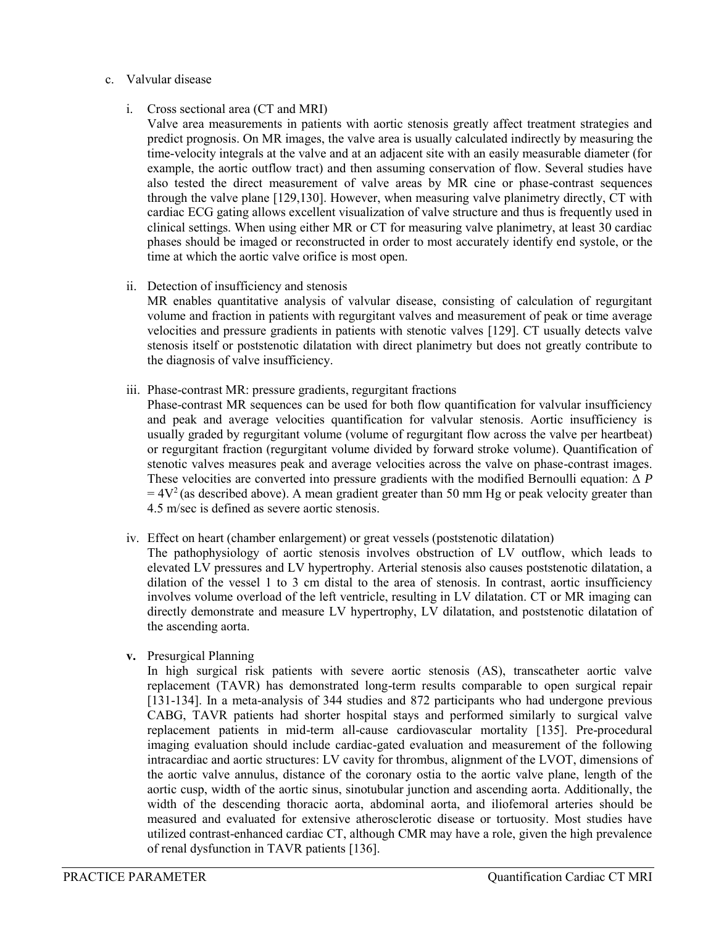- c. Valvular disease
	- i. Cross sectional area (CT and MRI)
		- Valve area measurements in patients with aortic stenosis greatly affect treatment strategies and predict prognosis. On MR images, the valve area is usually calculated indirectly by measuring the time-velocity integrals at the valve and at an adjacent site with an easily measurable diameter (for example, the aortic outflow tract) and then assuming conservation of flow. Several studies have also tested the direct measurement of valve areas by MR cine or phase-contrast sequences through the valve plane [\[129](#page-32-1)[,130\]](#page-32-2). However, when measuring valve planimetry directly, CT with cardiac ECG gating allows excellent visualization of valve structure and thus is frequently used in clinical settings. When using either MR or CT for measuring valve planimetry, at least 30 cardiac phases should be imaged or reconstructed in order to most accurately identify end systole, or the time at which the aortic valve orifice is most open.
	- ii. Detection of insufficiency and stenosis

MR enables quantitative analysis of valvular disease, consisting of calculation of regurgitant volume and fraction in patients with regurgitant valves and measurement of peak or time average velocities and pressure gradients in patients with stenotic valves [\[129\]](#page-32-1). CT usually detects valve stenosis itself or poststenotic dilatation with direct planimetry but does not greatly contribute to the diagnosis of valve insufficiency.

- iii. Phase-contrast MR: pressure gradients, regurgitant fractions
	- Phase-contrast MR sequences can be used for both flow quantification for valvular insufficiency and peak and average velocities quantification for valvular stenosis. Aortic insufficiency is usually graded by regurgitant volume (volume of regurgitant flow across the valve per heartbeat) or regurgitant fraction (regurgitant volume divided by forward stroke volume). Quantification of stenotic valves measures peak and average velocities across the valve on phase-contrast images. These velocities are converted into pressure gradients with the modified Bernoulli equation: Δ *P*  $= 4V^2$  (as described above). A mean gradient greater than 50 mm Hg or peak velocity greater than 4.5 m/sec is defined as severe aortic stenosis.
- iv. Effect on heart (chamber enlargement) or great vessels (poststenotic dilatation)

The pathophysiology of aortic stenosis involves obstruction of LV outflow, which leads to elevated LV pressures and LV hypertrophy. Arterial stenosis also causes poststenotic dilatation, a dilation of the vessel 1 to 3 cm distal to the area of stenosis. In contrast, aortic insufficiency involves volume overload of the left ventricle, resulting in LV dilatation. CT or MR imaging can directly demonstrate and measure LV hypertrophy, LV dilatation, and poststenotic dilatation of the ascending aorta.

**v.** Presurgical Planning

In high surgical risk patients with severe aortic stenosis (AS), transcatheter aortic valve replacement (TAVR) has demonstrated long-term results comparable to open surgical repair [\[131-134\]](#page-32-3). In a meta-analysis of 344 studies and 872 participants who had undergone previous CABG, TAVR patients had shorter hospital stays and performed similarly to surgical valve replacement patients in mid-term all-cause cardiovascular mortality [\[135\]](#page-32-4). Pre-procedural imaging evaluation should include cardiac-gated evaluation and measurement of the following intracardiac and aortic structures: LV cavity for thrombus, alignment of the LVOT, dimensions of the aortic valve annulus, distance of the coronary ostia to the aortic valve plane, length of the aortic cusp, width of the aortic sinus, sinotubular junction and ascending aorta. Additionally, the width of the descending thoracic aorta, abdominal aorta, and iliofemoral arteries should be measured and evaluated for extensive atherosclerotic disease or tortuosity. Most studies have utilized contrast-enhanced cardiac CT, although CMR may have a role, given the high prevalence of renal dysfunction in TAVR patients [\[136\]](#page-32-5).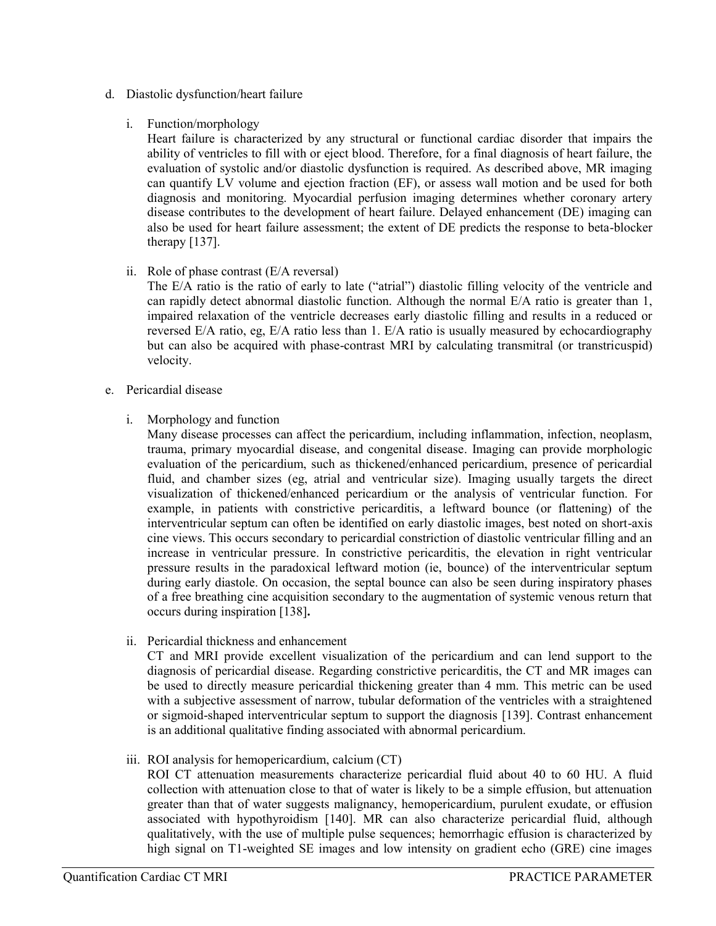- d. Diastolic dysfunction/heart failure
	- i. Function/morphology

Heart failure is characterized by any structural or functional cardiac disorder that impairs the ability of ventricles to fill with or eject blood. Therefore, for a final diagnosis of heart failure, the evaluation of systolic and/or diastolic dysfunction is required. As described above, MR imaging can quantify LV volume and ejection fraction (EF), or assess wall motion and be used for both diagnosis and monitoring. Myocardial perfusion imaging determines whether coronary artery disease contributes to the development of heart failure. Delayed enhancement (DE) imaging can also be used for heart failure assessment; the extent of DE predicts the response to beta-blocker therapy [\[137\]](#page-32-6).

ii. Role of phase contrast (E/A reversal)

The E/A ratio is the ratio of early to late ("atrial") diastolic filling velocity of the ventricle and can rapidly detect abnormal diastolic function. Although the normal E/A ratio is greater than 1, impaired relaxation of the ventricle decreases early diastolic filling and results in a reduced or reversed E/A ratio, eg, E/A ratio less than 1. E/A ratio is usually measured by echocardiography but can also be acquired with phase-contrast MRI by calculating transmitral (or transtricuspid) velocity.

- e. Pericardial disease
	- i. Morphology and function

Many disease processes can affect the pericardium, including inflammation, infection, neoplasm, trauma, primary myocardial disease, and congenital disease. Imaging can provide morphologic evaluation of the pericardium, such as thickened/enhanced pericardium, presence of pericardial fluid, and chamber sizes (eg, atrial and ventricular size). Imaging usually targets the direct visualization of thickened/enhanced pericardium or the analysis of ventricular function. For example, in patients with constrictive pericarditis, a leftward bounce (or flattening) of the interventricular septum can often be identified on early diastolic images, best noted on short-axis cine views. This occurs secondary to pericardial constriction of diastolic ventricular filling and an increase in ventricular pressure. In constrictive pericarditis, the elevation in right ventricular pressure results in the paradoxical leftward motion (ie, bounce) of the interventricular septum during early diastole. On occasion, the septal bounce can also be seen during inspiratory phases of a free breathing cine acquisition secondary to the augmentation of systemic venous return that occurs during inspiration [\[138\]](#page-32-7)**.** 

ii. Pericardial thickness and enhancement

CT and MRI provide excellent visualization of the pericardium and can lend support to the diagnosis of pericardial disease. Regarding constrictive pericarditis, the CT and MR images can be used to directly measure pericardial thickening greater than 4 mm. This metric can be used with a subjective assessment of narrow, tubular deformation of the ventricles with a straightened or sigmoid-shaped interventricular septum to support the diagnosis [\[139\]](#page-32-8). Contrast enhancement is an additional qualitative finding associated with abnormal pericardium.

iii. ROI analysis for hemopericardium, calcium (CT)

ROI CT attenuation measurements characterize pericardial fluid about 40 to 60 HU. A fluid collection with attenuation close to that of water is likely to be a simple effusion, but attenuation greater than that of water suggests malignancy, hemopericardium, purulent exudate, or effusion associated with hypothyroidism [\[140\]](#page-32-9). MR can also characterize pericardial fluid, although qualitatively, with the use of multiple pulse sequences; hemorrhagic effusion is characterized by high signal on T1-weighted SE images and low intensity on gradient echo (GRE) cine images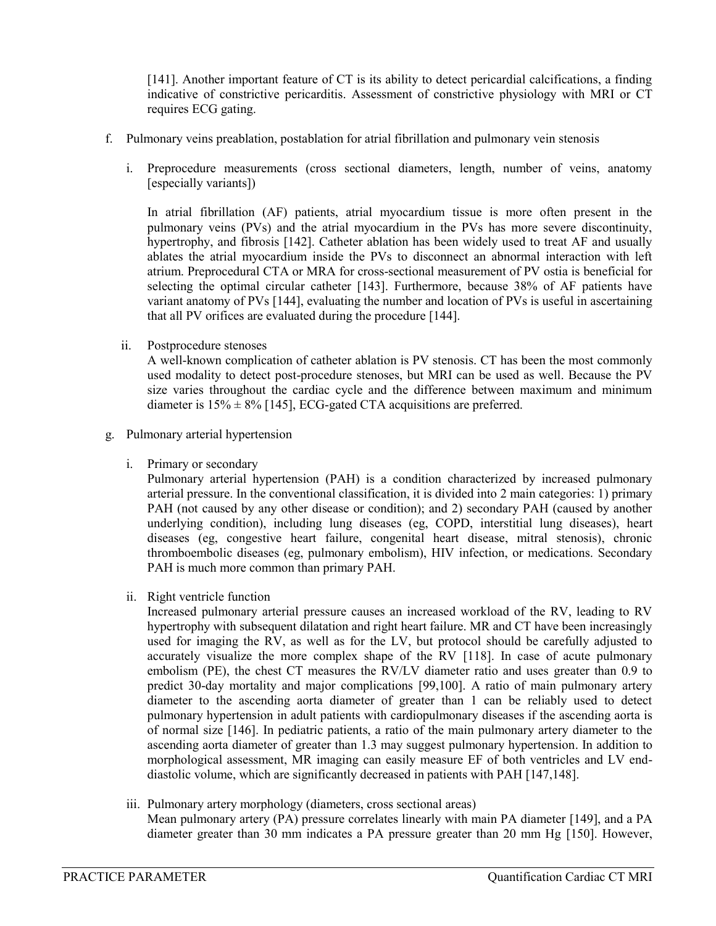[\[141\]](#page-32-10). Another important feature of CT is its ability to detect pericardial calcifications, a finding indicative of constrictive pericarditis. Assessment of constrictive physiology with MRI or CT requires ECG gating.

- f. Pulmonary veins preablation, postablation for atrial fibrillation and pulmonary vein stenosis
	- i. Preprocedure measurements (cross sectional diameters, length, number of veins, anatomy [especially variants])

In atrial fibrillation (AF) patients, atrial myocardium tissue is more often present in the pulmonary veins (PVs) and the atrial myocardium in the PVs has more severe discontinuity, hypertrophy, and fibrosis [\[142\]](#page-32-11). Catheter ablation has been widely used to treat AF and usually ablates the atrial myocardium inside the PVs to disconnect an abnormal interaction with left atrium. Preprocedural CTA or MRA for cross-sectional measurement of PV ostia is beneficial for selecting the optimal circular catheter [\[143\]](#page-32-12). Furthermore, because 38% of AF patients have variant anatomy of PVs [\[144\]](#page-32-13), evaluating the number and location of PVs is useful in ascertaining that all PV orifices are evaluated during the procedure [\[144\]](#page-32-13).

ii. Postprocedure stenoses

A well-known complication of catheter ablation is PV stenosis. CT has been the most commonly used modality to detect post-procedure stenoses, but MRI can be used as well. Because the PV size varies throughout the cardiac cycle and the difference between maximum and minimum diameter is  $15\% \pm 8\%$  [\[145\]](#page-32-14), ECG-gated CTA acquisitions are preferred.

- g. Pulmonary arterial hypertension
	- i. Primary or secondary

Pulmonary arterial hypertension (PAH) is a condition characterized by increased pulmonary arterial pressure. In the conventional classification, it is divided into 2 main categories: 1) primary PAH (not caused by any other disease or condition); and 2) secondary PAH (caused by another underlying condition), including lung diseases (eg, COPD, interstitial lung diseases), heart diseases (eg, congestive heart failure, congenital heart disease, mitral stenosis), chronic thromboembolic diseases (eg, pulmonary embolism), HIV infection, or medications. Secondary PAH is much more common than primary PAH.

ii. Right ventricle function

Increased pulmonary arterial pressure causes an increased workload of the RV, leading to RV hypertrophy with subsequent dilatation and right heart failure. MR and CT have been increasingly used for imaging the RV, as well as for the LV, but protocol should be carefully adjusted to accurately visualize the more complex shape of the RV [\[118\]](#page-31-14). In case of acute pulmonary embolism (PE), the chest CT measures the RV/LV diameter ratio and uses greater than 0.9 to predict 30-day mortality and major complications [\[99](#page-30-14)[,100\]](#page-30-15). A ratio of main pulmonary artery diameter to the ascending aorta diameter of greater than 1 can be reliably used to detect pulmonary hypertension in adult patients with cardiopulmonary diseases if the ascending aorta is of normal size [\[146\]](#page-32-15). In pediatric patients, a ratio of the main pulmonary artery diameter to the ascending aorta diameter of greater than 1.3 may suggest pulmonary hypertension. In addition to morphological assessment, MR imaging can easily measure EF of both ventricles and LV enddiastolic volume, which are significantly decreased in patients with PAH [\[147](#page-32-16)[,148\]](#page-33-0).

iii. Pulmonary artery morphology (diameters, cross sectional areas) Mean pulmonary artery (PA) pressure correlates linearly with main PA diameter [\[149\]](#page-33-1), and a PA diameter greater than 30 mm indicates a PA pressure greater than 20 mm Hg [\[150\]](#page-33-2). However,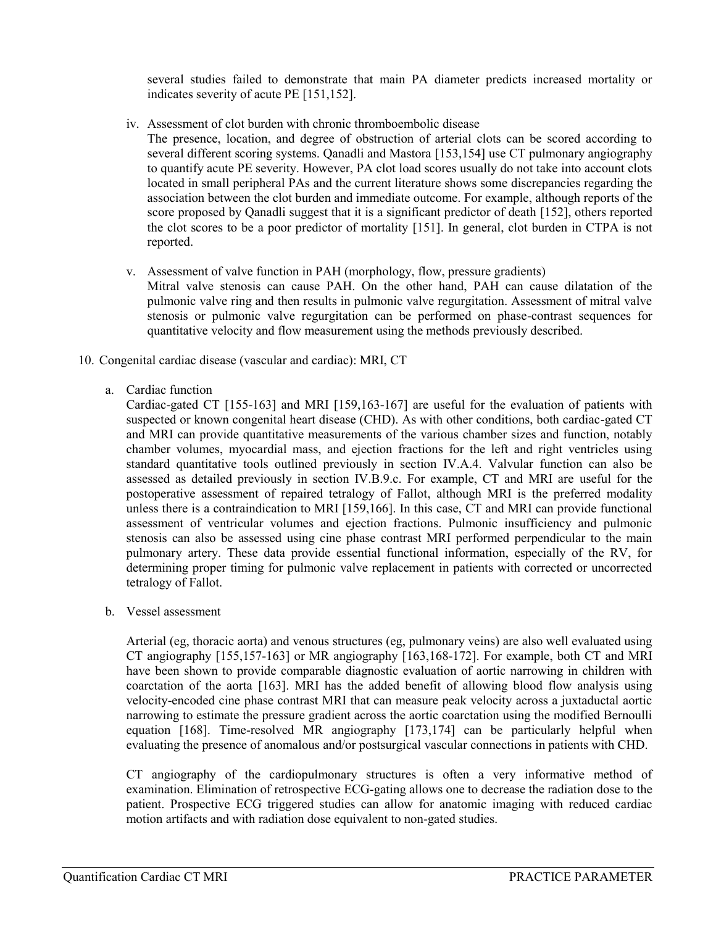several studies failed to demonstrate that main PA diameter predicts increased mortality or indicates severity of acute PE [\[151](#page-33-3)[,152\]](#page-33-4).

- iv. Assessment of clot burden with chronic thromboembolic disease
	- The presence, location, and degree of obstruction of arterial clots can be scored according to several different scoring systems. Qanadli and Mastora [\[153](#page-33-5)[,154\]](#page-33-6) use CT pulmonary angiography to quantify acute PE severity. However, PA clot load scores usually do not take into account clots located in small peripheral PAs and the current literature shows some discrepancies regarding the association between the clot burden and immediate outcome. For example, although reports of the score proposed by Qanadli suggest that it is a significant predictor of death [\[152\]](#page-33-4), others reported the clot scores to be a poor predictor of mortality [\[151\]](#page-33-3). In general, clot burden in CTPA is not reported.

#### v. Assessment of valve function in PAH (morphology, flow, pressure gradients)

- Mitral valve stenosis can cause PAH. On the other hand, PAH can cause dilatation of the pulmonic valve ring and then results in pulmonic valve regurgitation. Assessment of mitral valve stenosis or pulmonic valve regurgitation can be performed on phase-contrast sequences for quantitative velocity and flow measurement using the methods previously described.
- 10. Congenital cardiac disease (vascular and cardiac): MRI, CT
	- a. Cardiac function

Cardiac-gated CT [\[155-163\]](#page-33-7) and MRI [\[159](#page-33-8)[,163-167\]](#page-33-9) are useful for the evaluation of patients with suspected or known congenital heart disease (CHD). As with other conditions, both cardiac-gated CT and MRI can provide quantitative measurements of the various chamber sizes and function, notably chamber volumes, myocardial mass, and ejection fractions for the left and right ventricles using standard quantitative tools outlined previously in section IV.A.4. Valvular function can also be assessed as detailed previously in section IV.B.9.c. For example, CT and MRI are useful for the postoperative assessment of repaired tetralogy of Fallot, although MRI is the preferred modality unless there is a contraindication to MRI [\[159](#page-33-8)[,166\]](#page-33-10). In this case, CT and MRI can provide functional assessment of ventricular volumes and ejection fractions. Pulmonic insufficiency and pulmonic stenosis can also be assessed using cine phase contrast MRI performed perpendicular to the main pulmonary artery. These data provide essential functional information, especially of the RV, for determining proper timing for pulmonic valve replacement in patients with corrected or uncorrected tetralogy of Fallot.

b. Vessel assessment

Arterial (eg, thoracic aorta) and venous structures (eg, pulmonary veins) are also well evaluated using CT angiography [\[155](#page-33-7)[,157-163\]](#page-33-11) or MR angiography [\[163](#page-33-9)[,168-172\]](#page-34-1). For example, both CT and MRI have been shown to provide comparable diagnostic evaluation of aortic narrowing in children with coarctation of the aorta [\[163\]](#page-33-9). MRI has the added benefit of allowing blood flow analysis using velocity-encoded cine phase contrast MRI that can measure peak velocity across a juxtaductal aortic narrowing to estimate the pressure gradient across the aortic coarctation using the modified Bernoulli equation [\[168\]](#page-34-1). Time-resolved MR angiography [\[173,](#page-34-2)[174\]](#page-34-3) can be particularly helpful when evaluating the presence of anomalous and/or postsurgical vascular connections in patients with CHD.

CT angiography of the cardiopulmonary structures is often a very informative method of examination. Elimination of retrospective ECG-gating allows one to decrease the radiation dose to the patient. Prospective ECG triggered studies can allow for anatomic imaging with reduced cardiac motion artifacts and with radiation dose equivalent to non-gated studies.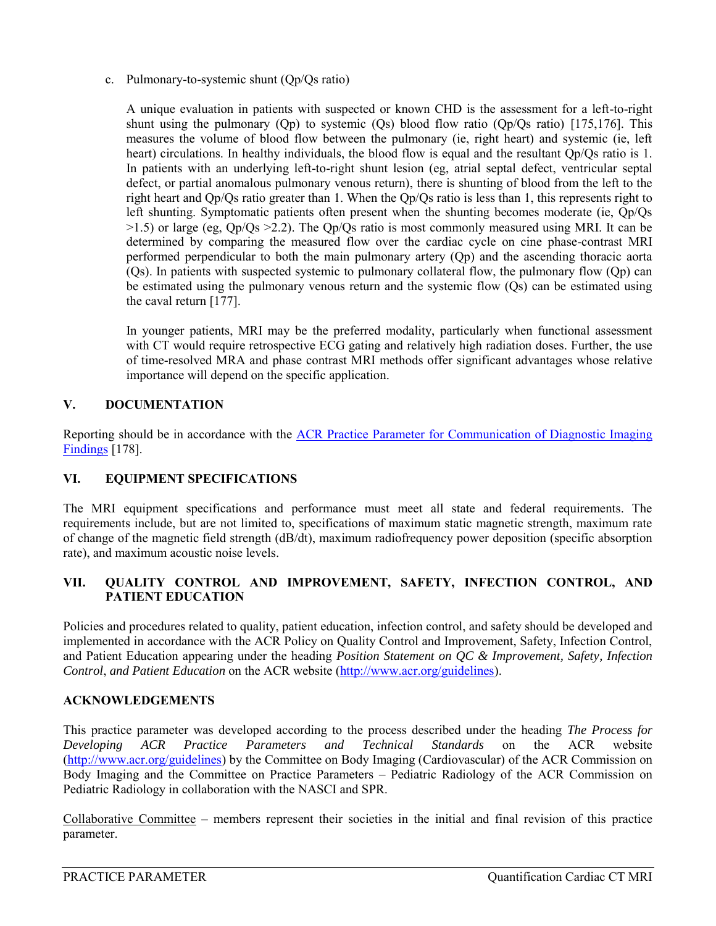c. Pulmonary-to-systemic shunt (Qp/Qs ratio)

A unique evaluation in patients with suspected or known CHD is the assessment for a left-to-right shunt using the pulmonary (Qp) to systemic (Qs) blood flow ratio (Qp/Qs ratio) [\[175](#page-34-4)[,176\]](#page-34-5). This measures the volume of blood flow between the pulmonary (ie, right heart) and systemic (ie, left heart) circulations. In healthy individuals, the blood flow is equal and the resultant Qp/Qs ratio is 1. In patients with an underlying left-to-right shunt lesion (eg, atrial septal defect, ventricular septal defect, or partial anomalous pulmonary venous return), there is shunting of blood from the left to the right heart and Qp/Qs ratio greater than 1. When the Qp/Qs ratio is less than 1, this represents right to left shunting. Symptomatic patients often present when the shunting becomes moderate (ie, Qp/Qs  $>1.5$ ) or large (eg,  $Qp/Qs > 2.2$ ). The  $Qp/Qs$  ratio is most commonly measured using MRI. It can be determined by comparing the measured flow over the cardiac cycle on cine phase-contrast MRI performed perpendicular to both the main pulmonary artery (Qp) and the ascending thoracic aorta  $(Qs)$ . In patients with suspected systemic to pulmonary collateral flow, the pulmonary flow  $(Qp)$  can be estimated using the pulmonary venous return and the systemic flow (Qs) can be estimated using the caval return [\[177\]](#page-34-6).

In younger patients, MRI may be the preferred modality, particularly when functional assessment with CT would require retrospective ECG gating and relatively high radiation doses. Further, the use of time-resolved MRA and phase contrast MRI methods offer significant advantages whose relative importance will depend on the specific application.

# **V. DOCUMENTATION**

Reporting should be in accordance with the ACR Practice Parameter [for Communication of Diagnostic Imaging](https://www.acr.org/-/media/ACR/Files/Practice-Parameters/CommunicationDiag.pdf)  [Findings](https://www.acr.org/-/media/ACR/Files/Practice-Parameters/CommunicationDiag.pdf) [\[178\]](#page-34-7).

# **VI. EQUIPMENT SPECIFICATIONS**

The MRI equipment specifications and performance must meet all state and federal requirements. The requirements include, but are not limited to, specifications of maximum static magnetic strength, maximum rate of change of the magnetic field strength (dB/dt), maximum radiofrequency power deposition (specific absorption rate), and maximum acoustic noise levels.

# **VII. QUALITY CONTROL AND IMPROVEMENT, SAFETY, INFECTION CONTROL, AND PATIENT EDUCATION**

Policies and procedures related to quality, patient education, infection control, and safety should be developed and implemented in accordance with the ACR Policy on Quality Control and Improvement, Safety, Infection Control, and Patient Education appearing under the heading *Position Statement on QC & Improvement, Safety, Infection Control*, *and Patient Education* on the ACR website [\(http://www.acr.org/guidelines\)](http://www.acr.org/guidelines).

#### **ACKNOWLEDGEMENTS**

This practice parameter was developed according to the process described under the heading *The Process for Developing ACR Practice Parameters and Technical Standards* on the ACR website [\(http://www.acr.org/guidelines\)](http://www.acr.org/guidelines) by the Committee on Body Imaging (Cardiovascular) of the ACR Commission on Body Imaging and the Committee on Practice Parameters – Pediatric Radiology of the ACR Commission on Pediatric Radiology in collaboration with the NASCI and SPR.

Collaborative Committee – members represent their societies in the initial and final revision of this practice parameter.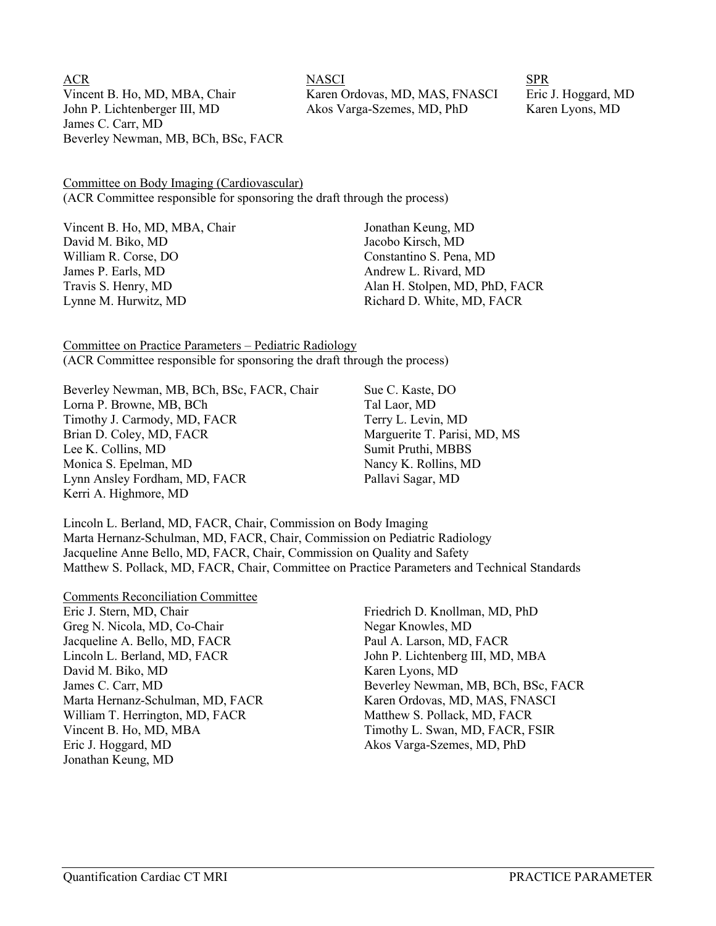ACR SPR NASCI Vincent B. Ho, MD, MBA, Chair Karen Ordovas, MD, MAS, FNASCI Eric J. Hoggard, MD John P. Lichtenberger III, MD Akos Varga-Szemes, MD, PhD Karen Lyons, MD James C. Carr, MD Beverley Newman, MB, BCh, BSc, FACR

Committee on Body Imaging (Cardiovascular) (ACR Committee responsible for sponsoring the draft through the process)

Vincent B. Ho, MD, MBA, Chair Jonathan Keung, MD David M. Biko, MD Jacobo Kirsch, MD William R. Corse, DO Constantino S. Pena, MD James P. Earls, MD Andrew L. Rivard, MD Lynne M. Hurwitz, MD Richard D. White, MD, FACR

Travis S. Henry, MD Alan H. Stolpen, MD, PhD, FACR

Committee on Practice Parameters – Pediatric Radiology (ACR Committee responsible for sponsoring the draft through the process)

Beverley Newman, MB, BCh, BSc, FACR, Chair Lorna P. Browne, MB, BCh Timothy J. Carmody, MD, FACR Brian D. Coley, MD, FACR Lee K. Collins, MD Monica S. Epelman, MD Lynn Ansley Fordham, MD, FACR Kerri A. Highmore, MD

Sue C. Kaste, DO Tal Laor, MD Terry L. Levin, MD Marguerite T. Parisi, MD, MS Sumit Pruthi, MBBS Nancy K. Rollins, MD Pallavi Sagar, MD

Lincoln L. Berland, MD, FACR, Chair, Commission on Body Imaging Marta Hernanz-Schulman, MD, FACR, Chair, Commission on Pediatric Radiology Jacqueline Anne Bello, MD, FACR, Chair, Commission on Quality and Safety Matthew S. Pollack, MD, FACR, Chair, Committee on Practice Parameters and Technical Standards

Comments Reconciliation Committee Eric J. Stern, MD, Chair Greg N. Nicola, MD, Co-Chair Jacqueline A. Bello, MD, FACR Lincoln L. Berland, MD, FACR David M. Biko, MD James C. Carr, MD Marta Hernanz-Schulman, MD, FACR William T. Herrington, MD, FACR Vincent B. Ho, MD, MBA Eric J. Hoggard, MD Jonathan Keung, MD

Friedrich D. Knollman, MD, PhD Negar Knowles, MD Paul A. Larson, MD, FACR John P. Lichtenberg III, MD, MBA Karen Lyons, MD Beverley Newman, MB, BCh, BSc, FACR Karen Ordovas, MD, MAS, FNASCI Matthew S. Pollack, MD, FACR Timothy L. Swan, MD, FACR, FSIR Akos Varga-Szemes, MD, PhD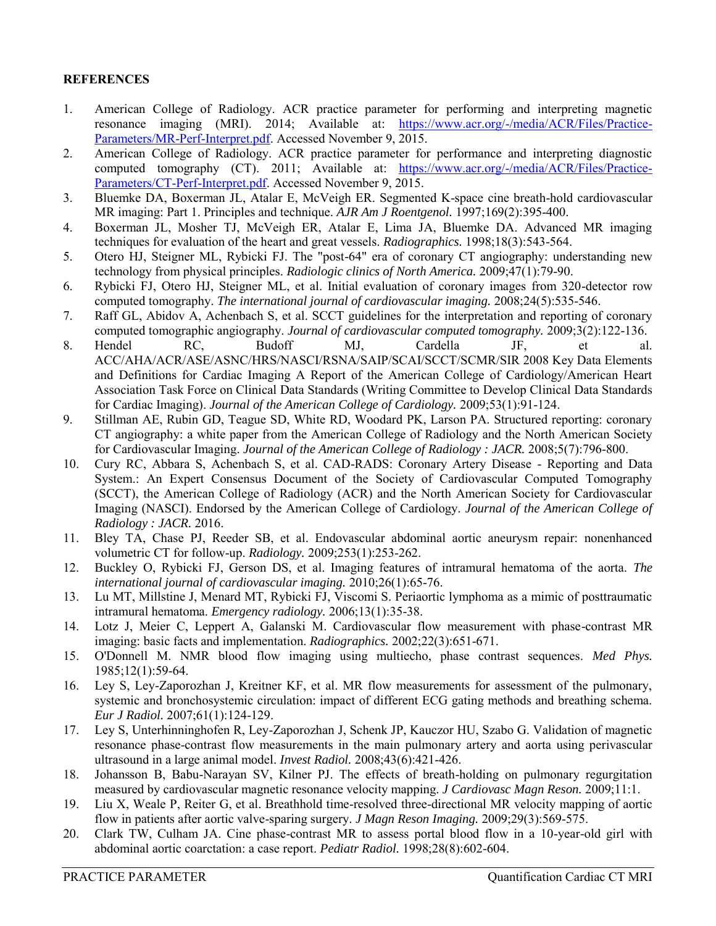## **REFERENCES**

- <span id="page-26-0"></span>1. American College of Radiology. ACR practice parameter for performing and interpreting magnetic resonance imaging (MRI). 2014; Available at: [https://www.acr.org/-/media/ACR/Files/Practice-](https://www.acr.org/-/media/ACR/Files/Practice-Parameters/MR-Perf-Interpret.pdf)[Parameters/MR-Perf-Interpret.pdf.](https://www.acr.org/-/media/ACR/Files/Practice-Parameters/MR-Perf-Interpret.pdf) Accessed November 9, 2015.
- <span id="page-26-1"></span>2. American College of Radiology. ACR practice parameter for performance and interpreting diagnostic computed tomography (CT). 2011; Available at: [https://www.acr.org/-/media/ACR/Files/Practice-](https://www.acr.org/-/media/ACR/Files/Practice-Parameters/CT-Perf-Interpret.pdf)[Parameters/CT-Perf-Interpret.pdf.](https://www.acr.org/-/media/ACR/Files/Practice-Parameters/CT-Perf-Interpret.pdf) Accessed November 9, 2015.
- <span id="page-26-2"></span>3. Bluemke DA, Boxerman JL, Atalar E, McVeigh ER. Segmented K-space cine breath-hold cardiovascular MR imaging: Part 1. Principles and technique. *AJR Am J Roentgenol.* 1997;169(2):395-400.
- <span id="page-26-3"></span>4. Boxerman JL, Mosher TJ, McVeigh ER, Atalar E, Lima JA, Bluemke DA. Advanced MR imaging techniques for evaluation of the heart and great vessels. *Radiographics.* 1998;18(3):543-564.
- <span id="page-26-4"></span>5. Otero HJ, Steigner ML, Rybicki FJ. The "post-64" era of coronary CT angiography: understanding new technology from physical principles. *Radiologic clinics of North America.* 2009;47(1):79-90.
- <span id="page-26-5"></span>6. Rybicki FJ, Otero HJ, Steigner ML, et al. Initial evaluation of coronary images from 320-detector row computed tomography. *The international journal of cardiovascular imaging.* 2008;24(5):535-546.
- <span id="page-26-6"></span>7. Raff GL, Abidov A, Achenbach S, et al. SCCT guidelines for the interpretation and reporting of coronary computed tomographic angiography. *Journal of cardiovascular computed tomography.* 2009;3(2):122-136.
- <span id="page-26-7"></span>8. Hendel RC, Budoff MJ, Cardella JF, et al. ACC/AHA/ACR/ASE/ASNC/HRS/NASCI/RSNA/SAIP/SCAI/SCCT/SCMR/SIR 2008 Key Data Elements and Definitions for Cardiac Imaging A Report of the American College of Cardiology/American Heart Association Task Force on Clinical Data Standards (Writing Committee to Develop Clinical Data Standards for Cardiac Imaging). *Journal of the American College of Cardiology.* 2009;53(1):91-124.
- <span id="page-26-8"></span>9. Stillman AE, Rubin GD, Teague SD, White RD, Woodard PK, Larson PA. Structured reporting: coronary CT angiography: a white paper from the American College of Radiology and the North American Society for Cardiovascular Imaging. *Journal of the American College of Radiology : JACR.* 2008;5(7):796-800.
- <span id="page-26-9"></span>10. Cury RC, Abbara S, Achenbach S, et al. CAD-RADS: Coronary Artery Disease - Reporting and Data System.: An Expert Consensus Document of the Society of Cardiovascular Computed Tomography (SCCT), the American College of Radiology (ACR) and the North American Society for Cardiovascular Imaging (NASCI). Endorsed by the American College of Cardiology. *Journal of the American College of Radiology : JACR.* 2016.
- <span id="page-26-10"></span>11. Bley TA, Chase PJ, Reeder SB, et al. Endovascular abdominal aortic aneurysm repair: nonenhanced volumetric CT for follow-up. *Radiology.* 2009;253(1):253-262.
- <span id="page-26-11"></span>12. Buckley O, Rybicki FJ, Gerson DS, et al. Imaging features of intramural hematoma of the aorta. *The international journal of cardiovascular imaging.* 2010;26(1):65-76.
- <span id="page-26-12"></span>13. Lu MT, Millstine J, Menard MT, Rybicki FJ, Viscomi S. Periaortic lymphoma as a mimic of posttraumatic intramural hematoma. *Emergency radiology.* 2006;13(1):35-38.
- <span id="page-26-13"></span>14. Lotz J, Meier C, Leppert A, Galanski M. Cardiovascular flow measurement with phase-contrast MR imaging: basic facts and implementation. *Radiographics.* 2002;22(3):651-671.
- <span id="page-26-14"></span>15. O'Donnell M. NMR blood flow imaging using multiecho, phase contrast sequences. *Med Phys.*  1985;12(1):59-64.
- <span id="page-26-15"></span>16. Ley S, Ley-Zaporozhan J, Kreitner KF, et al. MR flow measurements for assessment of the pulmonary, systemic and bronchosystemic circulation: impact of different ECG gating methods and breathing schema. *Eur J Radiol.* 2007;61(1):124-129.
- <span id="page-26-16"></span>17. Ley S, Unterhinninghofen R, Ley-Zaporozhan J, Schenk JP, Kauczor HU, Szabo G. Validation of magnetic resonance phase-contrast flow measurements in the main pulmonary artery and aorta using perivascular ultrasound in a large animal model. *Invest Radiol.* 2008;43(6):421-426.
- <span id="page-26-17"></span>18. Johansson B, Babu-Narayan SV, Kilner PJ. The effects of breath-holding on pulmonary regurgitation measured by cardiovascular magnetic resonance velocity mapping. *J Cardiovasc Magn Reson.* 2009;11:1.
- <span id="page-26-18"></span>19. Liu X, Weale P, Reiter G, et al. Breathhold time-resolved three-directional MR velocity mapping of aortic flow in patients after aortic valve-sparing surgery. *J Magn Reson Imaging.* 2009;29(3):569-575.
- <span id="page-26-19"></span>20. Clark TW, Culham JA. Cine phase-contrast MR to assess portal blood flow in a 10-year-old girl with abdominal aortic coarctation: a case report. *Pediatr Radiol.* 1998;28(8):602-604.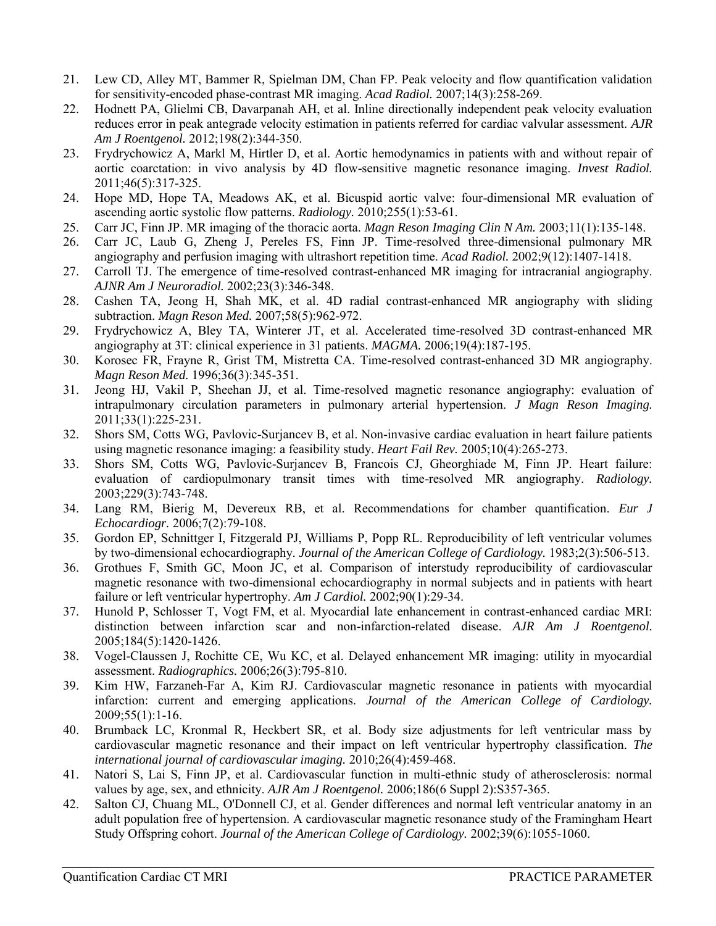- <span id="page-27-0"></span>21. Lew CD, Alley MT, Bammer R, Spielman DM, Chan FP. Peak velocity and flow quantification validation for sensitivity-encoded phase-contrast MR imaging. *Acad Radiol.* 2007;14(3):258-269.
- <span id="page-27-1"></span>22. Hodnett PA, Glielmi CB, Davarpanah AH, et al. Inline directionally independent peak velocity evaluation reduces error in peak antegrade velocity estimation in patients referred for cardiac valvular assessment. *AJR Am J Roentgenol.* 2012;198(2):344-350.
- <span id="page-27-2"></span>23. Frydrychowicz A, Markl M, Hirtler D, et al. Aortic hemodynamics in patients with and without repair of aortic coarctation: in vivo analysis by 4D flow-sensitive magnetic resonance imaging. *Invest Radiol.*  2011;46(5):317-325.
- <span id="page-27-3"></span>24. Hope MD, Hope TA, Meadows AK, et al. Bicuspid aortic valve: four-dimensional MR evaluation of ascending aortic systolic flow patterns. *Radiology.* 2010;255(1):53-61.
- <span id="page-27-4"></span>25. Carr JC, Finn JP. MR imaging of the thoracic aorta. *Magn Reson Imaging Clin N Am.* 2003;11(1):135-148.
- 26. Carr JC, Laub G, Zheng J, Pereles FS, Finn JP. Time-resolved three-dimensional pulmonary MR angiography and perfusion imaging with ultrashort repetition time. *Acad Radiol.* 2002;9(12):1407-1418.
- 27. Carroll TJ. The emergence of time-resolved contrast-enhanced MR imaging for intracranial angiography. *AJNR Am J Neuroradiol.* 2002;23(3):346-348.
- 28. Cashen TA, Jeong H, Shah MK, et al. 4D radial contrast-enhanced MR angiography with sliding subtraction. *Magn Reson Med.* 2007;58(5):962-972.
- 29. Frydrychowicz A, Bley TA, Winterer JT, et al. Accelerated time-resolved 3D contrast-enhanced MR angiography at 3T: clinical experience in 31 patients. *MAGMA.* 2006;19(4):187-195.
- <span id="page-27-14"></span>30. Korosec FR, Frayne R, Grist TM, Mistretta CA. Time-resolved contrast-enhanced 3D MR angiography. *Magn Reson Med.* 1996;36(3):345-351.
- <span id="page-27-5"></span>31. Jeong HJ, Vakil P, Sheehan JJ, et al. Time-resolved magnetic resonance angiography: evaluation of intrapulmonary circulation parameters in pulmonary arterial hypertension. *J Magn Reson Imaging.*  2011;33(1):225-231.
- 32. Shors SM, Cotts WG, Pavlovic-Surjancev B, et al. Non-invasive cardiac evaluation in heart failure patients using magnetic resonance imaging: a feasibility study. *Heart Fail Rev.* 2005;10(4):265-273.
- 33. Shors SM, Cotts WG, Pavlovic-Surjancev B, Francois CJ, Gheorghiade M, Finn JP. Heart failure: evaluation of cardiopulmonary transit times with time-resolved MR angiography. *Radiology.*  2003;229(3):743-748.
- <span id="page-27-6"></span>34. Lang RM, Bierig M, Devereux RB, et al. Recommendations for chamber quantification. *Eur J Echocardiogr.* 2006;7(2):79-108.
- <span id="page-27-7"></span>35. Gordon EP, Schnittger I, Fitzgerald PJ, Williams P, Popp RL. Reproducibility of left ventricular volumes by two-dimensional echocardiography. *Journal of the American College of Cardiology.* 1983;2(3):506-513.
- <span id="page-27-8"></span>36. Grothues F, Smith GC, Moon JC, et al. Comparison of interstudy reproducibility of cardiovascular magnetic resonance with two-dimensional echocardiography in normal subjects and in patients with heart failure or left ventricular hypertrophy. *Am J Cardiol.* 2002;90(1):29-34.
- <span id="page-27-9"></span>37. Hunold P, Schlosser T, Vogt FM, et al. Myocardial late enhancement in contrast-enhanced cardiac MRI: distinction between infarction scar and non-infarction-related disease. *AJR Am J Roentgenol.*  2005;184(5):1420-1426.
- <span id="page-27-10"></span>38. Vogel-Claussen J, Rochitte CE, Wu KC, et al. Delayed enhancement MR imaging: utility in myocardial assessment. *Radiographics.* 2006;26(3):795-810.
- <span id="page-27-11"></span>39. Kim HW, Farzaneh-Far A, Kim RJ. Cardiovascular magnetic resonance in patients with myocardial infarction: current and emerging applications. *Journal of the American College of Cardiology.*  2009;55(1):1-16.
- <span id="page-27-12"></span>40. Brumback LC, Kronmal R, Heckbert SR, et al. Body size adjustments for left ventricular mass by cardiovascular magnetic resonance and their impact on left ventricular hypertrophy classification. *The international journal of cardiovascular imaging.* 2010;26(4):459-468.
- <span id="page-27-13"></span>41. Natori S, Lai S, Finn JP, et al. Cardiovascular function in multi-ethnic study of atherosclerosis: normal values by age, sex, and ethnicity. *AJR Am J Roentgenol.* 2006;186(6 Suppl 2):S357-365.
- 42. Salton CJ, Chuang ML, O'Donnell CJ, et al. Gender differences and normal left ventricular anatomy in an adult population free of hypertension. A cardiovascular magnetic resonance study of the Framingham Heart Study Offspring cohort. *Journal of the American College of Cardiology.* 2002;39(6):1055-1060.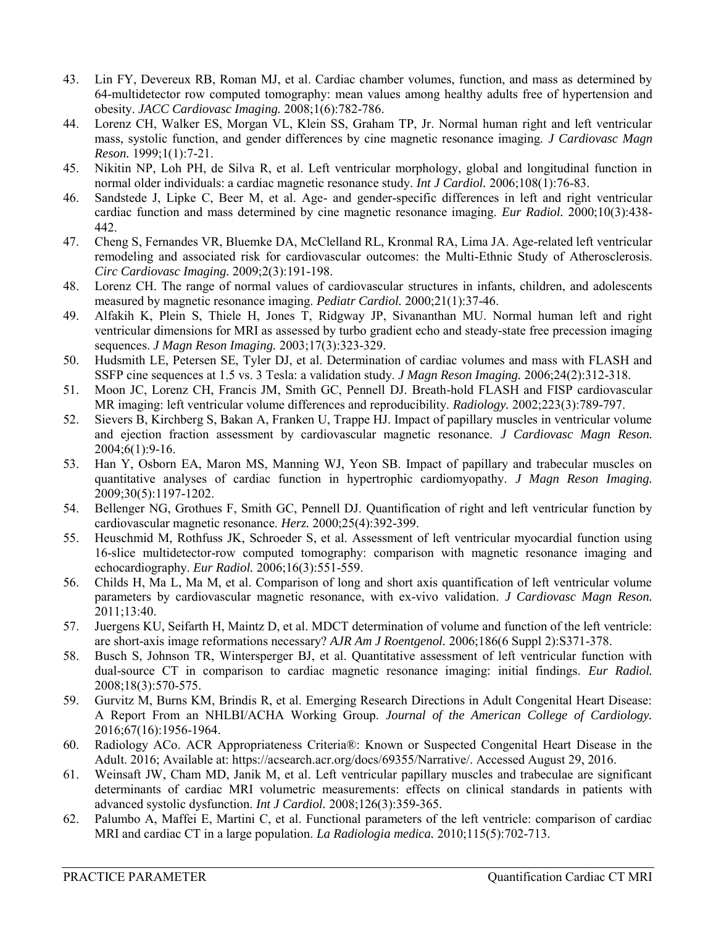- 43. Lin FY, Devereux RB, Roman MJ, et al. Cardiac chamber volumes, function, and mass as determined by 64-multidetector row computed tomography: mean values among healthy adults free of hypertension and obesity. *JACC Cardiovasc Imaging.* 2008;1(6):782-786.
- 44. Lorenz CH, Walker ES, Morgan VL, Klein SS, Graham TP, Jr. Normal human right and left ventricular mass, systolic function, and gender differences by cine magnetic resonance imaging. *J Cardiovasc Magn Reson.* 1999;1(1):7-21.
- <span id="page-28-0"></span>45. Nikitin NP, Loh PH, de Silva R, et al. Left ventricular morphology, global and longitudinal function in normal older individuals: a cardiac magnetic resonance study. *Int J Cardiol.* 2006;108(1):76-83.
- 46. Sandstede J, Lipke C, Beer M, et al. Age- and gender-specific differences in left and right ventricular cardiac function and mass determined by cine magnetic resonance imaging. *Eur Radiol.* 2000;10(3):438- 442.
- <span id="page-28-1"></span>47. Cheng S, Fernandes VR, Bluemke DA, McClelland RL, Kronmal RA, Lima JA. Age-related left ventricular remodeling and associated risk for cardiovascular outcomes: the Multi-Ethnic Study of Atherosclerosis. *Circ Cardiovasc Imaging.* 2009;2(3):191-198.
- <span id="page-28-2"></span>48. Lorenz CH. The range of normal values of cardiovascular structures in infants, children, and adolescents measured by magnetic resonance imaging. *Pediatr Cardiol.* 2000;21(1):37-46.
- <span id="page-28-3"></span>49. Alfakih K, Plein S, Thiele H, Jones T, Ridgway JP, Sivananthan MU. Normal human left and right ventricular dimensions for MRI as assessed by turbo gradient echo and steady-state free precession imaging sequences. *J Magn Reson Imaging.* 2003;17(3):323-329.
- <span id="page-28-4"></span>50. Hudsmith LE, Petersen SE, Tyler DJ, et al. Determination of cardiac volumes and mass with FLASH and SSFP cine sequences at 1.5 vs. 3 Tesla: a validation study. *J Magn Reson Imaging.* 2006;24(2):312-318.
- 51. Moon JC, Lorenz CH, Francis JM, Smith GC, Pennell DJ. Breath-hold FLASH and FISP cardiovascular MR imaging: left ventricular volume differences and reproducibility. *Radiology.* 2002;223(3):789-797.
- <span id="page-28-5"></span>52. Sievers B, Kirchberg S, Bakan A, Franken U, Trappe HJ. Impact of papillary muscles in ventricular volume and ejection fraction assessment by cardiovascular magnetic resonance. *J Cardiovasc Magn Reson.*  2004;6(1):9-16.
- <span id="page-28-6"></span>53. Han Y, Osborn EA, Maron MS, Manning WJ, Yeon SB. Impact of papillary and trabecular muscles on quantitative analyses of cardiac function in hypertrophic cardiomyopathy. *J Magn Reson Imaging.*  2009;30(5):1197-1202.
- <span id="page-28-7"></span>54. Bellenger NG, Grothues F, Smith GC, Pennell DJ. Quantification of right and left ventricular function by cardiovascular magnetic resonance. *Herz.* 2000;25(4):392-399.
- <span id="page-28-12"></span>55. Heuschmid M, Rothfuss JK, Schroeder S, et al. Assessment of left ventricular myocardial function using 16-slice multidetector-row computed tomography: comparison with magnetic resonance imaging and echocardiography. *Eur Radiol.* 2006;16(3):551-559.
- 56. Childs H, Ma L, Ma M, et al. Comparison of long and short axis quantification of left ventricular volume parameters by cardiovascular magnetic resonance, with ex-vivo validation. *J Cardiovasc Magn Reson.*  2011;13:40.
- <span id="page-28-8"></span>57. Juergens KU, Seifarth H, Maintz D, et al. MDCT determination of volume and function of the left ventricle: are short-axis image reformations necessary? *AJR Am J Roentgenol.* 2006;186(6 Suppl 2):S371-378.
- <span id="page-28-9"></span>58. Busch S, Johnson TR, Wintersperger BJ, et al. Quantitative assessment of left ventricular function with dual-source CT in comparison to cardiac magnetic resonance imaging: initial findings. *Eur Radiol.*  2008;18(3):570-575.
- <span id="page-28-10"></span>59. Gurvitz M, Burns KM, Brindis R, et al. Emerging Research Directions in Adult Congenital Heart Disease: A Report From an NHLBI/ACHA Working Group. *Journal of the American College of Cardiology.*  2016;67(16):1956-1964.
- <span id="page-28-11"></span>60. Radiology ACo. ACR Appropriateness Criteria®: Known or Suspected Congenital Heart Disease in the Adult. 2016; Available at: https://acsearch.acr.org/docs/69355/Narrative/. Accessed August 29, 2016.
- <span id="page-28-13"></span>61. Weinsaft JW, Cham MD, Janik M, et al. Left ventricular papillary muscles and trabeculae are significant determinants of cardiac MRI volumetric measurements: effects on clinical standards in patients with advanced systolic dysfunction. *Int J Cardiol.* 2008;126(3):359-365.
- <span id="page-28-14"></span>62. Palumbo A, Maffei E, Martini C, et al. Functional parameters of the left ventricle: comparison of cardiac MRI and cardiac CT in a large population. *La Radiologia medica.* 2010;115(5):702-713.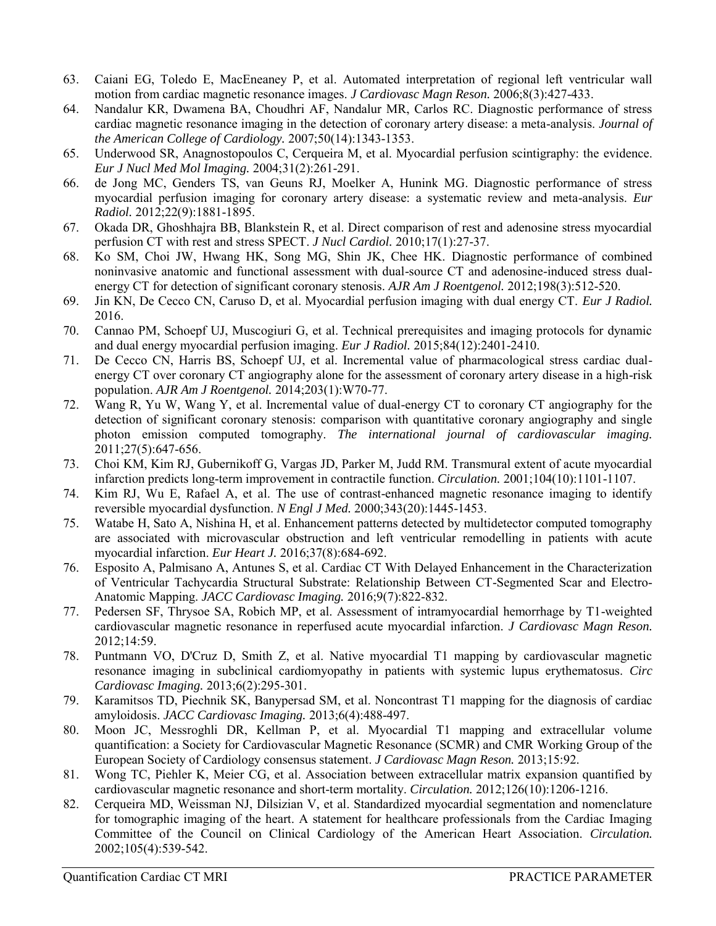- <span id="page-29-0"></span>63. Caiani EG, Toledo E, MacEneaney P, et al. Automated interpretation of regional left ventricular wall motion from cardiac magnetic resonance images. *J Cardiovasc Magn Reson.* 2006;8(3):427-433.
- <span id="page-29-1"></span>64. Nandalur KR, Dwamena BA, Choudhri AF, Nandalur MR, Carlos RC. Diagnostic performance of stress cardiac magnetic resonance imaging in the detection of coronary artery disease: a meta-analysis. *Journal of the American College of Cardiology.* 2007;50(14):1343-1353.
- 65. Underwood SR, Anagnostopoulos C, Cerqueira M, et al. Myocardial perfusion scintigraphy: the evidence. *Eur J Nucl Med Mol Imaging.* 2004;31(2):261-291.
- 66. de Jong MC, Genders TS, van Geuns RJ, Moelker A, Hunink MG. Diagnostic performance of stress myocardial perfusion imaging for coronary artery disease: a systematic review and meta-analysis. *Eur Radiol.* 2012;22(9):1881-1895.
- <span id="page-29-2"></span>67. Okada DR, Ghoshhajra BB, Blankstein R, et al. Direct comparison of rest and adenosine stress myocardial perfusion CT with rest and stress SPECT. *J Nucl Cardiol.* 2010;17(1):27-37.
- 68. Ko SM, Choi JW, Hwang HK, Song MG, Shin JK, Chee HK. Diagnostic performance of combined noninvasive anatomic and functional assessment with dual-source CT and adenosine-induced stress dualenergy CT for detection of significant coronary stenosis. *AJR Am J Roentgenol.* 2012;198(3):512-520.
- 69. Jin KN, De Cecco CN, Caruso D, et al. Myocardial perfusion imaging with dual energy CT. *Eur J Radiol.*  2016.
- 70. Cannao PM, Schoepf UJ, Muscogiuri G, et al. Technical prerequisites and imaging protocols for dynamic and dual energy myocardial perfusion imaging. *Eur J Radiol.* 2015;84(12):2401-2410.
- 71. De Cecco CN, Harris BS, Schoepf UJ, et al. Incremental value of pharmacological stress cardiac dualenergy CT over coronary CT angiography alone for the assessment of coronary artery disease in a high-risk population. *AJR Am J Roentgenol.* 2014;203(1):W70-77.
- <span id="page-29-3"></span>72. Wang R, Yu W, Wang Y, et al. Incremental value of dual-energy CT to coronary CT angiography for the detection of significant coronary stenosis: comparison with quantitative coronary angiography and single photon emission computed tomography. *The international journal of cardiovascular imaging.*  2011;27(5):647-656.
- <span id="page-29-4"></span>73. Choi KM, Kim RJ, Gubernikoff G, Vargas JD, Parker M, Judd RM. Transmural extent of acute myocardial infarction predicts long-term improvement in contractile function. *Circulation.* 2001;104(10):1101-1107.
- <span id="page-29-5"></span>74. Kim RJ, Wu E, Rafael A, et al. The use of contrast-enhanced magnetic resonance imaging to identify reversible myocardial dysfunction. *N Engl J Med.* 2000;343(20):1445-1453.
- <span id="page-29-6"></span>75. Watabe H, Sato A, Nishina H, et al. Enhancement patterns detected by multidetector computed tomography are associated with microvascular obstruction and left ventricular remodelling in patients with acute myocardial infarction. *Eur Heart J.* 2016;37(8):684-692.
- <span id="page-29-7"></span>76. Esposito A, Palmisano A, Antunes S, et al. Cardiac CT With Delayed Enhancement in the Characterization of Ventricular Tachycardia Structural Substrate: Relationship Between CT-Segmented Scar and Electro-Anatomic Mapping. *JACC Cardiovasc Imaging.* 2016;9(7):822-832.
- <span id="page-29-8"></span>77. Pedersen SF, Thrysoe SA, Robich MP, et al. Assessment of intramyocardial hemorrhage by T1-weighted cardiovascular magnetic resonance in reperfused acute myocardial infarction. *J Cardiovasc Magn Reson.*  2012;14:59.
- 78. Puntmann VO, D'Cruz D, Smith Z, et al. Native myocardial T1 mapping by cardiovascular magnetic resonance imaging in subclinical cardiomyopathy in patients with systemic lupus erythematosus. *Circ Cardiovasc Imaging.* 2013;6(2):295-301.
- 79. Karamitsos TD, Piechnik SK, Banypersad SM, et al. Noncontrast T1 mapping for the diagnosis of cardiac amyloidosis. *JACC Cardiovasc Imaging.* 2013;6(4):488-497.
- 80. Moon JC, Messroghli DR, Kellman P, et al. Myocardial T1 mapping and extracellular volume quantification: a Society for Cardiovascular Magnetic Resonance (SCMR) and CMR Working Group of the European Society of Cardiology consensus statement. *J Cardiovasc Magn Reson.* 2013;15:92.
- <span id="page-29-9"></span>81. Wong TC, Piehler K, Meier CG, et al. Association between extracellular matrix expansion quantified by cardiovascular magnetic resonance and short-term mortality. *Circulation.* 2012;126(10):1206-1216.
- <span id="page-29-10"></span>82. Cerqueira MD, Weissman NJ, Dilsizian V, et al. Standardized myocardial segmentation and nomenclature for tomographic imaging of the heart. A statement for healthcare professionals from the Cardiac Imaging Committee of the Council on Clinical Cardiology of the American Heart Association. *Circulation.*  2002;105(4):539-542.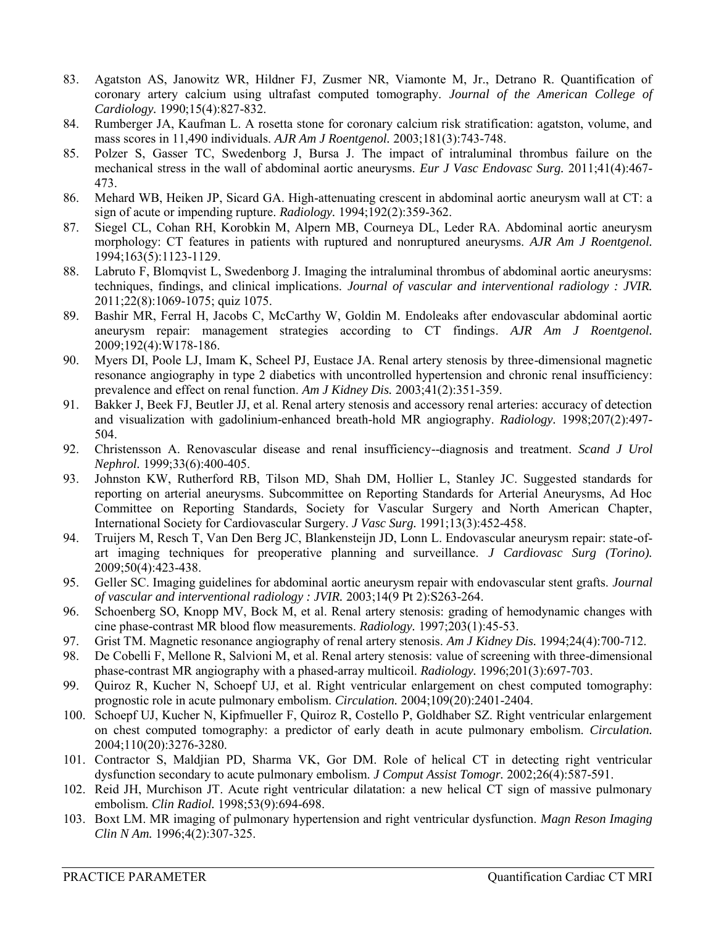- <span id="page-30-0"></span>83. Agatston AS, Janowitz WR, Hildner FJ, Zusmer NR, Viamonte M, Jr., Detrano R. Quantification of coronary artery calcium using ultrafast computed tomography. *Journal of the American College of Cardiology.* 1990;15(4):827-832.
- <span id="page-30-1"></span>84. Rumberger JA, Kaufman L. A rosetta stone for coronary calcium risk stratification: agatston, volume, and mass scores in 11,490 individuals. *AJR Am J Roentgenol.* 2003;181(3):743-748.
- <span id="page-30-2"></span>85. Polzer S, Gasser TC, Swedenborg J, Bursa J. The impact of intraluminal thrombus failure on the mechanical stress in the wall of abdominal aortic aneurysms. *Eur J Vasc Endovasc Surg.* 2011;41(4):467- 473.
- <span id="page-30-3"></span>86. Mehard WB, Heiken JP, Sicard GA. High-attenuating crescent in abdominal aortic aneurysm wall at CT: a sign of acute or impending rupture. *Radiology.* 1994;192(2):359-362.
- 87. Siegel CL, Cohan RH, Korobkin M, Alpern MB, Courneya DL, Leder RA. Abdominal aortic aneurysm morphology: CT features in patients with ruptured and nonruptured aneurysms. *AJR Am J Roentgenol.*  1994;163(5):1123-1129.
- 88. Labruto F, Blomqvist L, Swedenborg J. Imaging the intraluminal thrombus of abdominal aortic aneurysms: techniques, findings, and clinical implications. *Journal of vascular and interventional radiology : JVIR.*  2011;22(8):1069-1075; quiz 1075.
- <span id="page-30-4"></span>89. Bashir MR, Ferral H, Jacobs C, McCarthy W, Goldin M. Endoleaks after endovascular abdominal aortic aneurysm repair: management strategies according to CT findings. *AJR Am J Roentgenol.*  2009;192(4):W178-186.
- <span id="page-30-5"></span>90. Myers DI, Poole LJ, Imam K, Scheel PJ, Eustace JA. Renal artery stenosis by three-dimensional magnetic resonance angiography in type 2 diabetics with uncontrolled hypertension and chronic renal insufficiency: prevalence and effect on renal function. *Am J Kidney Dis.* 2003;41(2):351-359.
- <span id="page-30-6"></span>91. Bakker J, Beek FJ, Beutler JJ, et al. Renal artery stenosis and accessory renal arteries: accuracy of detection and visualization with gadolinium-enhanced breath-hold MR angiography. *Radiology.* 1998;207(2):497- 504.
- <span id="page-30-7"></span>92. Christensson A. Renovascular disease and renal insufficiency--diagnosis and treatment. *Scand J Urol Nephrol.* 1999;33(6):400-405.
- <span id="page-30-8"></span>93. Johnston KW, Rutherford RB, Tilson MD, Shah DM, Hollier L, Stanley JC. Suggested standards for reporting on arterial aneurysms. Subcommittee on Reporting Standards for Arterial Aneurysms, Ad Hoc Committee on Reporting Standards, Society for Vascular Surgery and North American Chapter, International Society for Cardiovascular Surgery. *J Vasc Surg.* 1991;13(3):452-458.
- <span id="page-30-9"></span>94. Truijers M, Resch T, Van Den Berg JC, Blankensteijn JD, Lonn L. Endovascular aneurysm repair: state-ofart imaging techniques for preoperative planning and surveillance. *J Cardiovasc Surg (Torino).*  2009;50(4):423-438.
- <span id="page-30-10"></span>95. Geller SC. Imaging guidelines for abdominal aortic aneurysm repair with endovascular stent grafts. *Journal of vascular and interventional radiology : JVIR.* 2003;14(9 Pt 2):S263-264.
- <span id="page-30-11"></span>96. Schoenberg SO, Knopp MV, Bock M, et al. Renal artery stenosis: grading of hemodynamic changes with cine phase-contrast MR blood flow measurements. *Radiology.* 1997;203(1):45-53.
- <span id="page-30-12"></span>97. Grist TM. Magnetic resonance angiography of renal artery stenosis. *Am J Kidney Dis.* 1994;24(4):700-712.
- <span id="page-30-13"></span>98. De Cobelli F, Mellone R, Salvioni M, et al. Renal artery stenosis: value of screening with three-dimensional phase-contrast MR angiography with a phased-array multicoil. *Radiology.* 1996;201(3):697-703.
- <span id="page-30-14"></span>99. Quiroz R, Kucher N, Schoepf UJ, et al. Right ventricular enlargement on chest computed tomography: prognostic role in acute pulmonary embolism. *Circulation.* 2004;109(20):2401-2404.
- <span id="page-30-15"></span>100. Schoepf UJ, Kucher N, Kipfmueller F, Quiroz R, Costello P, Goldhaber SZ. Right ventricular enlargement on chest computed tomography: a predictor of early death in acute pulmonary embolism. *Circulation.*  2004;110(20):3276-3280.
- <span id="page-30-16"></span>101. Contractor S, Maldjian PD, Sharma VK, Gor DM. Role of helical CT in detecting right ventricular dysfunction secondary to acute pulmonary embolism. *J Comput Assist Tomogr.* 2002;26(4):587-591.
- <span id="page-30-17"></span>102. Reid JH, Murchison JT. Acute right ventricular dilatation: a new helical CT sign of massive pulmonary embolism. *Clin Radiol.* 1998;53(9):694-698.
- <span id="page-30-18"></span>103. Boxt LM. MR imaging of pulmonary hypertension and right ventricular dysfunction. *Magn Reson Imaging Clin N Am.* 1996;4(2):307-325.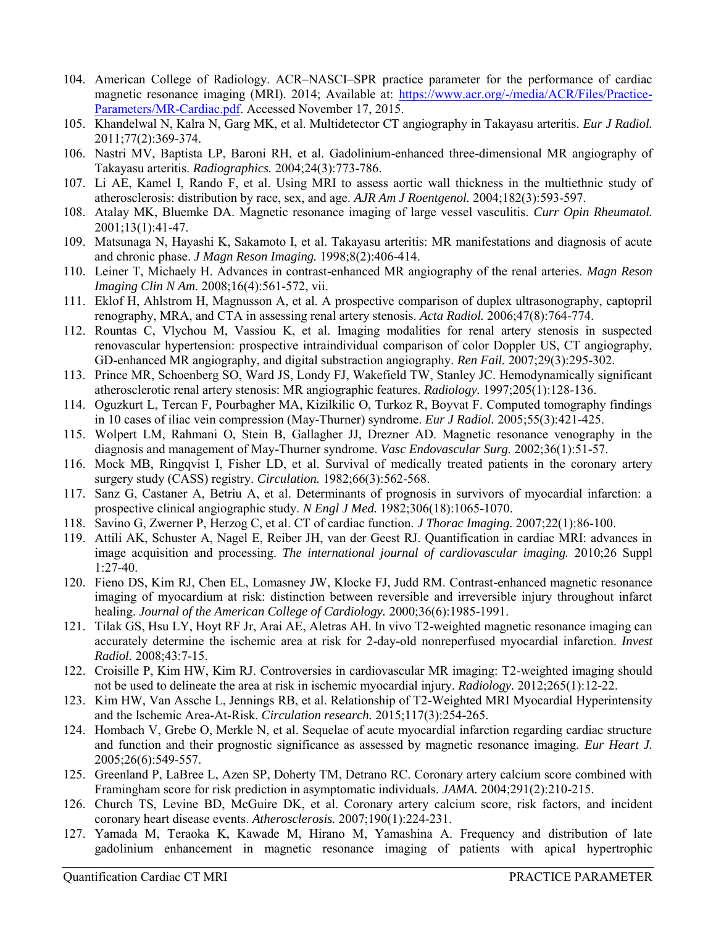- <span id="page-31-0"></span>104. American College of Radiology. ACR–NASCI–SPR practice parameter for the performance of cardiac magnetic resonance imaging (MRI). 2014; Available at: [https://www.acr.org/-/media/ACR/Files/Practice-](https://www.acr.org/-/media/ACR/Files/Practice-Parameters/MR-Cardiac.pdf)[Parameters/MR-Cardiac.pdf.](https://www.acr.org/-/media/ACR/Files/Practice-Parameters/MR-Cardiac.pdf) Accessed November 17, 2015.
- <span id="page-31-1"></span>105. Khandelwal N, Kalra N, Garg MK, et al. Multidetector CT angiography in Takayasu arteritis. *Eur J Radiol.*  2011;77(2):369-374.
- <span id="page-31-2"></span>106. Nastri MV, Baptista LP, Baroni RH, et al. Gadolinium-enhanced three-dimensional MR angiography of Takayasu arteritis. *Radiographics.* 2004;24(3):773-786.
- <span id="page-31-3"></span>107. Li AE, Kamel I, Rando F, et al. Using MRI to assess aortic wall thickness in the multiethnic study of atherosclerosis: distribution by race, sex, and age. *AJR Am J Roentgenol.* 2004;182(3):593-597.
- <span id="page-31-4"></span>108. Atalay MK, Bluemke DA. Magnetic resonance imaging of large vessel vasculitis. *Curr Opin Rheumatol.*  2001;13(1):41-47.
- <span id="page-31-5"></span>109. Matsunaga N, Hayashi K, Sakamoto I, et al. Takayasu arteritis: MR manifestations and diagnosis of acute and chronic phase. *J Magn Reson Imaging.* 1998;8(2):406-414.
- <span id="page-31-6"></span>110. Leiner T, Michaely H. Advances in contrast-enhanced MR angiography of the renal arteries. *Magn Reson Imaging Clin N Am.* 2008;16(4):561-572, vii.
- <span id="page-31-7"></span>111. Eklof H, Ahlstrom H, Magnusson A, et al. A prospective comparison of duplex ultrasonography, captopril renography, MRA, and CTA in assessing renal artery stenosis. *Acta Radiol.* 2006;47(8):764-774.
- <span id="page-31-8"></span>112. Rountas C, Vlychou M, Vassiou K, et al. Imaging modalities for renal artery stenosis in suspected renovascular hypertension: prospective intraindividual comparison of color Doppler US, CT angiography, GD-enhanced MR angiography, and digital substraction angiography. *Ren Fail.* 2007;29(3):295-302.
- <span id="page-31-9"></span>113. Prince MR, Schoenberg SO, Ward JS, Londy FJ, Wakefield TW, Stanley JC. Hemodynamically significant atherosclerotic renal artery stenosis: MR angiographic features. *Radiology.* 1997;205(1):128-136.
- <span id="page-31-10"></span>114. Oguzkurt L, Tercan F, Pourbagher MA, Kizilkilic O, Turkoz R, Boyvat F. Computed tomography findings in 10 cases of iliac vein compression (May-Thurner) syndrome. *Eur J Radiol.* 2005;55(3):421-425.
- <span id="page-31-11"></span>115. Wolpert LM, Rahmani O, Stein B, Gallagher JJ, Drezner AD. Magnetic resonance venography in the diagnosis and management of May-Thurner syndrome. *Vasc Endovascular Surg.* 2002;36(1):51-57.
- <span id="page-31-12"></span>116. Mock MB, Ringqvist I, Fisher LD, et al. Survival of medically treated patients in the coronary artery surgery study (CASS) registry. *Circulation.* 1982;66(3):562-568.
- <span id="page-31-13"></span>117. Sanz G, Castaner A, Betriu A, et al. Determinants of prognosis in survivors of myocardial infarction: a prospective clinical angiographic study. *N Engl J Med.* 1982;306(18):1065-1070.
- <span id="page-31-14"></span>118. Savino G, Zwerner P, Herzog C, et al. CT of cardiac function. *J Thorac Imaging.* 2007;22(1):86-100.
- <span id="page-31-15"></span>119. Attili AK, Schuster A, Nagel E, Reiber JH, van der Geest RJ. Quantification in cardiac MRI: advances in image acquisition and processing. *The international journal of cardiovascular imaging.* 2010;26 Suppl 1:27-40.
- <span id="page-31-16"></span>120. Fieno DS, Kim RJ, Chen EL, Lomasney JW, Klocke FJ, Judd RM. Contrast-enhanced magnetic resonance imaging of myocardium at risk: distinction between reversible and irreversible injury throughout infarct healing. *Journal of the American College of Cardiology.* 2000;36(6):1985-1991.
- <span id="page-31-17"></span>121. Tilak GS, Hsu LY, Hoyt RF Jr, Arai AE, Aletras AH. In vivo T2-weighted magnetic resonance imaging can accurately determine the ischemic area at risk for 2-day-old nonreperfused myocardial infarction. *Invest Radiol.* 2008;43:7-15.
- 122. Croisille P, Kim HW, Kim RJ. Controversies in cardiovascular MR imaging: T2-weighted imaging should not be used to delineate the area at risk in ischemic myocardial injury. *Radiology.* 2012;265(1):12-22.
- 123. Kim HW, Van Assche L, Jennings RB, et al. Relationship of T2-Weighted MRI Myocardial Hyperintensity and the Ischemic Area-At-Risk. *Circulation research.* 2015;117(3):254-265.
- <span id="page-31-18"></span>124. Hombach V, Grebe O, Merkle N, et al. Sequelae of acute myocardial infarction regarding cardiac structure and function and their prognostic significance as assessed by magnetic resonance imaging. *Eur Heart J.*  2005;26(6):549-557.
- <span id="page-31-19"></span>125. Greenland P, LaBree L, Azen SP, Doherty TM, Detrano RC. Coronary artery calcium score combined with Framingham score for risk prediction in asymptomatic individuals. *JAMA.* 2004;291(2):210-215.
- <span id="page-31-20"></span>126. Church TS, Levine BD, McGuire DK, et al. Coronary artery calcium score, risk factors, and incident coronary heart disease events. *Atherosclerosis.* 2007;190(1):224-231.
- <span id="page-31-21"></span>127. Yamada M, Teraoka K, Kawade M, Hirano M, Yamashina A. Frequency and distribution of late gadolinium enhancement in magnetic resonance imaging of patients with apical hypertrophic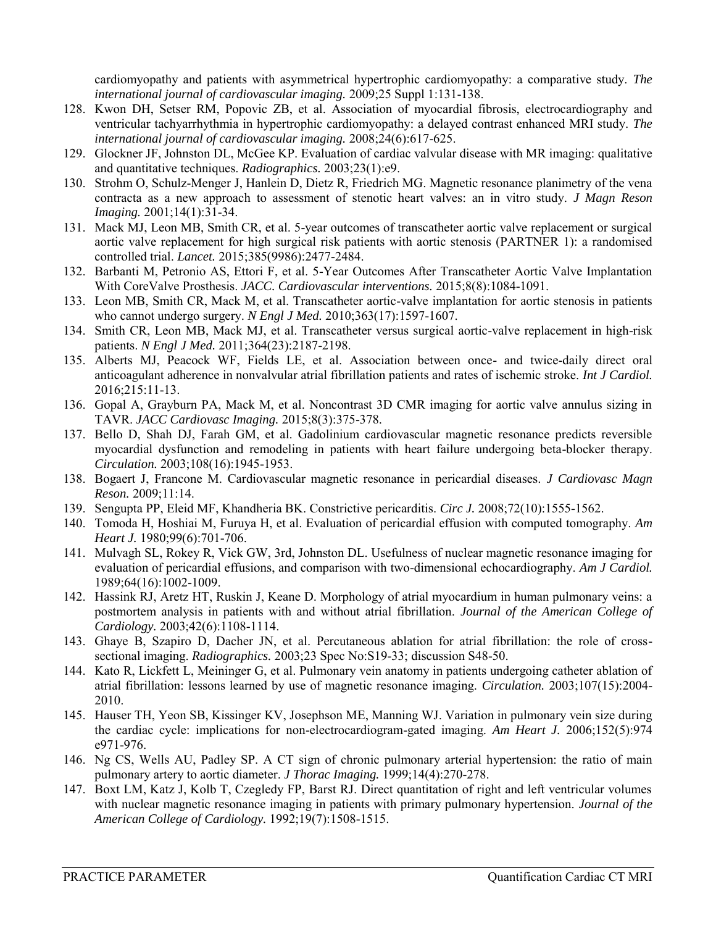cardiomyopathy and patients with asymmetrical hypertrophic cardiomyopathy: a comparative study. *The international journal of cardiovascular imaging.* 2009;25 Suppl 1:131-138.

- <span id="page-32-0"></span>128. Kwon DH, Setser RM, Popovic ZB, et al. Association of myocardial fibrosis, electrocardiography and ventricular tachyarrhythmia in hypertrophic cardiomyopathy: a delayed contrast enhanced MRI study. *The international journal of cardiovascular imaging.* 2008;24(6):617-625.
- <span id="page-32-1"></span>129. Glockner JF, Johnston DL, McGee KP. Evaluation of cardiac valvular disease with MR imaging: qualitative and quantitative techniques. *Radiographics.* 2003;23(1):e9.
- <span id="page-32-2"></span>130. Strohm O, Schulz-Menger J, Hanlein D, Dietz R, Friedrich MG. Magnetic resonance planimetry of the vena contracta as a new approach to assessment of stenotic heart valves: an in vitro study. *J Magn Reson Imaging.* 2001;14(1):31-34.
- <span id="page-32-3"></span>131. Mack MJ, Leon MB, Smith CR, et al. 5-year outcomes of transcatheter aortic valve replacement or surgical aortic valve replacement for high surgical risk patients with aortic stenosis (PARTNER 1): a randomised controlled trial. *Lancet.* 2015;385(9986):2477-2484.
- 132. Barbanti M, Petronio AS, Ettori F, et al. 5-Year Outcomes After Transcatheter Aortic Valve Implantation With CoreValve Prosthesis. *JACC. Cardiovascular interventions.* 2015;8(8):1084-1091.
- 133. Leon MB, Smith CR, Mack M, et al. Transcatheter aortic-valve implantation for aortic stenosis in patients who cannot undergo surgery. *N Engl J Med.* 2010;363(17):1597-1607.
- 134. Smith CR, Leon MB, Mack MJ, et al. Transcatheter versus surgical aortic-valve replacement in high-risk patients. *N Engl J Med.* 2011;364(23):2187-2198.
- <span id="page-32-4"></span>135. Alberts MJ, Peacock WF, Fields LE, et al. Association between once- and twice-daily direct oral anticoagulant adherence in nonvalvular atrial fibrillation patients and rates of ischemic stroke. *Int J Cardiol.*  2016;215:11-13.
- <span id="page-32-5"></span>136. Gopal A, Grayburn PA, Mack M, et al. Noncontrast 3D CMR imaging for aortic valve annulus sizing in TAVR. *JACC Cardiovasc Imaging.* 2015;8(3):375-378.
- <span id="page-32-6"></span>137. Bello D, Shah DJ, Farah GM, et al. Gadolinium cardiovascular magnetic resonance predicts reversible myocardial dysfunction and remodeling in patients with heart failure undergoing beta-blocker therapy. *Circulation.* 2003;108(16):1945-1953.
- <span id="page-32-7"></span>138. Bogaert J, Francone M. Cardiovascular magnetic resonance in pericardial diseases. *J Cardiovasc Magn Reson.* 2009;11:14.
- <span id="page-32-8"></span>139. Sengupta PP, Eleid MF, Khandheria BK. Constrictive pericarditis. *Circ J.* 2008;72(10):1555-1562.
- <span id="page-32-9"></span>140. Tomoda H, Hoshiai M, Furuya H, et al. Evaluation of pericardial effusion with computed tomography. *Am Heart J.* 1980;99(6):701-706.
- <span id="page-32-10"></span>141. Mulvagh SL, Rokey R, Vick GW, 3rd, Johnston DL. Usefulness of nuclear magnetic resonance imaging for evaluation of pericardial effusions, and comparison with two-dimensional echocardiography. *Am J Cardiol.*  1989;64(16):1002-1009.
- <span id="page-32-11"></span>142. Hassink RJ, Aretz HT, Ruskin J, Keane D. Morphology of atrial myocardium in human pulmonary veins: a postmortem analysis in patients with and without atrial fibrillation. *Journal of the American College of Cardiology.* 2003;42(6):1108-1114.
- <span id="page-32-12"></span>143. Ghaye B, Szapiro D, Dacher JN, et al. Percutaneous ablation for atrial fibrillation: the role of crosssectional imaging. *Radiographics.* 2003;23 Spec No:S19-33; discussion S48-50.
- <span id="page-32-13"></span>144. Kato R, Lickfett L, Meininger G, et al. Pulmonary vein anatomy in patients undergoing catheter ablation of atrial fibrillation: lessons learned by use of magnetic resonance imaging. *Circulation.* 2003;107(15):2004- 2010.
- <span id="page-32-14"></span>145. Hauser TH, Yeon SB, Kissinger KV, Josephson ME, Manning WJ. Variation in pulmonary vein size during the cardiac cycle: implications for non-electrocardiogram-gated imaging. *Am Heart J.* 2006;152(5):974 e971-976.
- <span id="page-32-15"></span>146. Ng CS, Wells AU, Padley SP. A CT sign of chronic pulmonary arterial hypertension: the ratio of main pulmonary artery to aortic diameter. *J Thorac Imaging.* 1999;14(4):270-278.
- <span id="page-32-16"></span>147. Boxt LM, Katz J, Kolb T, Czegledy FP, Barst RJ. Direct quantitation of right and left ventricular volumes with nuclear magnetic resonance imaging in patients with primary pulmonary hypertension. *Journal of the American College of Cardiology.* 1992;19(7):1508-1515.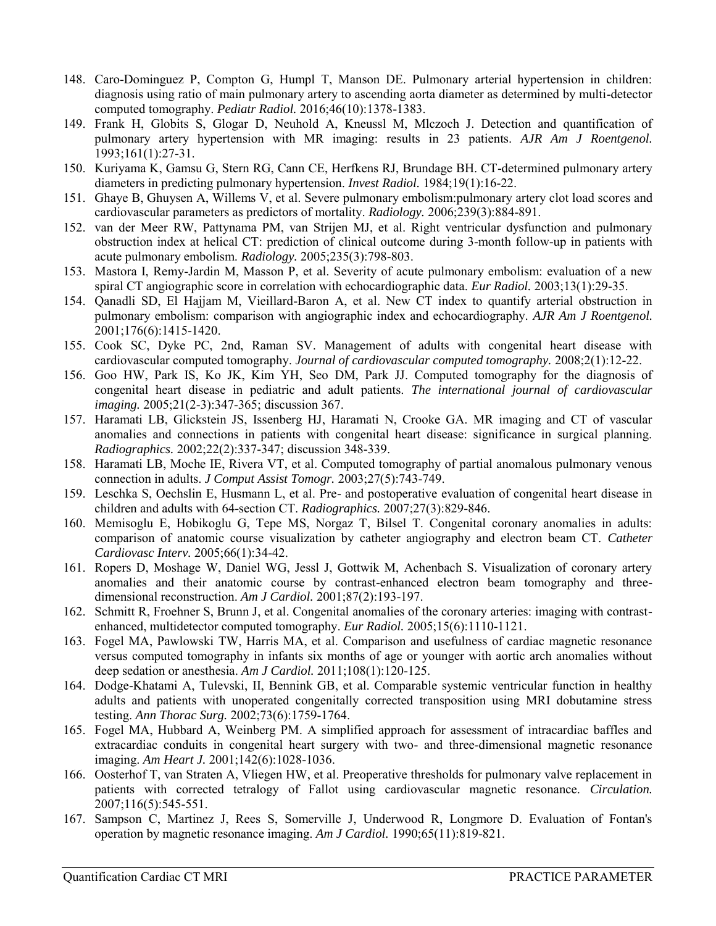- <span id="page-33-0"></span>148. Caro-Dominguez P, Compton G, Humpl T, Manson DE. Pulmonary arterial hypertension in children: diagnosis using ratio of main pulmonary artery to ascending aorta diameter as determined by multi-detector computed tomography. *Pediatr Radiol.* 2016;46(10):1378-1383.
- <span id="page-33-1"></span>149. Frank H, Globits S, Glogar D, Neuhold A, Kneussl M, Mlczoch J. Detection and quantification of pulmonary artery hypertension with MR imaging: results in 23 patients. *AJR Am J Roentgenol.*  1993;161(1):27-31.
- <span id="page-33-2"></span>150. Kuriyama K, Gamsu G, Stern RG, Cann CE, Herfkens RJ, Brundage BH. CT-determined pulmonary artery diameters in predicting pulmonary hypertension. *Invest Radiol.* 1984;19(1):16-22.
- <span id="page-33-3"></span>151. Ghaye B, Ghuysen A, Willems V, et al. Severe pulmonary embolism:pulmonary artery clot load scores and cardiovascular parameters as predictors of mortality. *Radiology.* 2006;239(3):884-891.
- <span id="page-33-4"></span>152. van der Meer RW, Pattynama PM, van Strijen MJ, et al. Right ventricular dysfunction and pulmonary obstruction index at helical CT: prediction of clinical outcome during 3-month follow-up in patients with acute pulmonary embolism. *Radiology.* 2005;235(3):798-803.
- <span id="page-33-5"></span>153. Mastora I, Remy-Jardin M, Masson P, et al. Severity of acute pulmonary embolism: evaluation of a new spiral CT angiographic score in correlation with echocardiographic data. *Eur Radiol.* 2003;13(1):29-35.
- <span id="page-33-6"></span>154. Qanadli SD, El Hajjam M, Vieillard-Baron A, et al. New CT index to quantify arterial obstruction in pulmonary embolism: comparison with angiographic index and echocardiography. *AJR Am J Roentgenol.*  2001;176(6):1415-1420.
- <span id="page-33-7"></span>155. Cook SC, Dyke PC, 2nd, Raman SV. Management of adults with congenital heart disease with cardiovascular computed tomography. *Journal of cardiovascular computed tomography.* 2008;2(1):12-22.
- 156. Goo HW, Park IS, Ko JK, Kim YH, Seo DM, Park JJ. Computed tomography for the diagnosis of congenital heart disease in pediatric and adult patients. *The international journal of cardiovascular imaging.* 2005;21(2-3):347-365; discussion 367.
- <span id="page-33-11"></span>157. Haramati LB, Glickstein JS, Issenberg HJ, Haramati N, Crooke GA. MR imaging and CT of vascular anomalies and connections in patients with congenital heart disease: significance in surgical planning. *Radiographics.* 2002;22(2):337-347; discussion 348-339.
- 158. Haramati LB, Moche IE, Rivera VT, et al. Computed tomography of partial anomalous pulmonary venous connection in adults. *J Comput Assist Tomogr.* 2003;27(5):743-749.
- <span id="page-33-8"></span>159. Leschka S, Oechslin E, Husmann L, et al. Pre- and postoperative evaluation of congenital heart disease in children and adults with 64-section CT. *Radiographics.* 2007;27(3):829-846.
- 160. Memisoglu E, Hobikoglu G, Tepe MS, Norgaz T, Bilsel T. Congenital coronary anomalies in adults: comparison of anatomic course visualization by catheter angiography and electron beam CT. *Catheter Cardiovasc Interv.* 2005;66(1):34-42.
- 161. Ropers D, Moshage W, Daniel WG, Jessl J, Gottwik M, Achenbach S. Visualization of coronary artery anomalies and their anatomic course by contrast-enhanced electron beam tomography and threedimensional reconstruction. *Am J Cardiol.* 2001;87(2):193-197.
- 162. Schmitt R, Froehner S, Brunn J, et al. Congenital anomalies of the coronary arteries: imaging with contrastenhanced, multidetector computed tomography. *Eur Radiol.* 2005;15(6):1110-1121.
- <span id="page-33-9"></span>163. Fogel MA, Pawlowski TW, Harris MA, et al. Comparison and usefulness of cardiac magnetic resonance versus computed tomography in infants six months of age or younger with aortic arch anomalies without deep sedation or anesthesia. *Am J Cardiol.* 2011;108(1):120-125.
- 164. Dodge-Khatami A, Tulevski, II, Bennink GB, et al. Comparable systemic ventricular function in healthy adults and patients with unoperated congenitally corrected transposition using MRI dobutamine stress testing. *Ann Thorac Surg.* 2002;73(6):1759-1764.
- 165. Fogel MA, Hubbard A, Weinberg PM. A simplified approach for assessment of intracardiac baffles and extracardiac conduits in congenital heart surgery with two- and three-dimensional magnetic resonance imaging. *Am Heart J.* 2001;142(6):1028-1036.
- <span id="page-33-10"></span>166. Oosterhof T, van Straten A, Vliegen HW, et al. Preoperative thresholds for pulmonary valve replacement in patients with corrected tetralogy of Fallot using cardiovascular magnetic resonance. *Circulation.*  2007;116(5):545-551.
- 167. Sampson C, Martinez J, Rees S, Somerville J, Underwood R, Longmore D. Evaluation of Fontan's operation by magnetic resonance imaging. *Am J Cardiol.* 1990;65(11):819-821.